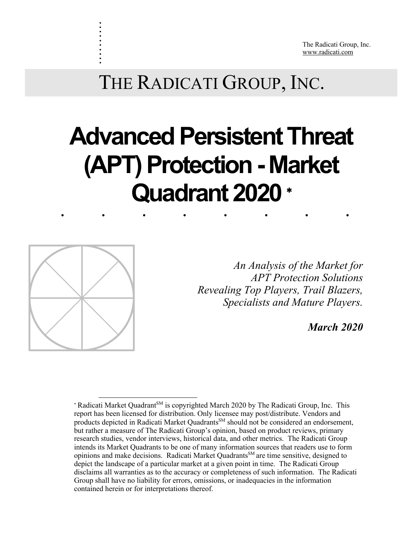The Radicati Group, Inc. www.radicati.com

# ........ **Advanced Persistent Threat (APT) Protection- Market Quadrant 2020** \*



. . . . . . . . . .

> *Revealing Top Players, Trail Blazers, An Analysis of the Market for APT Protection Solutions Specialists and Mature Players.*

> > *March 2020*

<sup>1</sup> \* Radicati Market Quadrant<sup>SM</sup> is copyrighted March 2020 by The Radicati Group, Inc. This report has been licensed for distribution. Only licensee may post/distribute. Vendors and products depicted in Radicati Market Quadrants<sup>SM</sup> should not be considered an endorsement, but rather a measure of The Radicati Group's opinion, based on product reviews, primary research studies, vendor interviews, historical data, and other metrics. The Radicati Group intends its Market Quadrants to be one of many information sources that readers use to form opinions and make decisions. Radicati Market Quadrants<sup>SM</sup> are time sensitive, designed to depict the landscape of a particular market at a given point in time. The Radicati Group disclaims all warranties as to the accuracy or completeness of such information. The Radicati Group shall have no liability for errors, omissions, or inadequacies in the information contained herein or for interpretations thereof.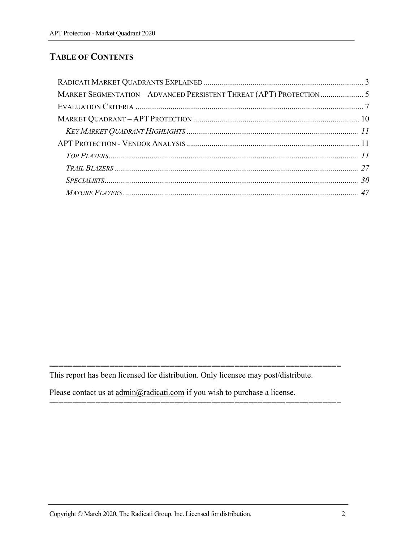## **TABLE OF CONTENTS**

| MARKET SEGMENTATION - ADVANCED PERSISTENT THREAT (APT) PROTECTION 5 |  |
|---------------------------------------------------------------------|--|
|                                                                     |  |
|                                                                     |  |
|                                                                     |  |
|                                                                     |  |
|                                                                     |  |
|                                                                     |  |
|                                                                     |  |
|                                                                     |  |

=============================================================== This report has been licensed for distribution. Only licensee may post/distribute.

===============================================================

Please contact us at  $\underline{admin@radicati.com}$  if you wish to purchase a license.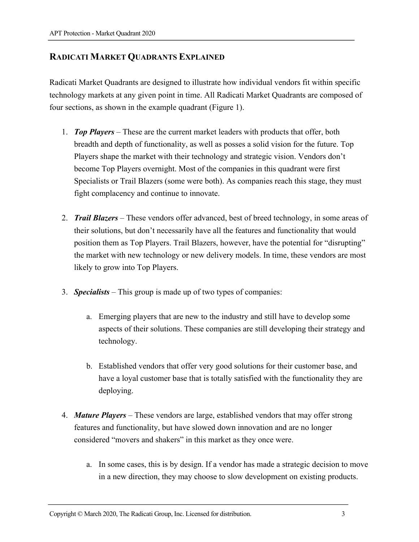## **RADICATI MARKET QUADRANTS EXPLAINED**

Radicati Market Quadrants are designed to illustrate how individual vendors fit within specific technology markets at any given point in time. All Radicati Market Quadrants are composed of four sections, as shown in the example quadrant (Figure 1).

- 1. *Top Players* These are the current market leaders with products that offer, both breadth and depth of functionality, as well as posses a solid vision for the future. Top Players shape the market with their technology and strategic vision. Vendors don't become Top Players overnight. Most of the companies in this quadrant were first Specialists or Trail Blazers (some were both). As companies reach this stage, they must fight complacency and continue to innovate.
- 2. *Trail Blazers* These vendors offer advanced, best of breed technology, in some areas of their solutions, but don't necessarily have all the features and functionality that would position them as Top Players. Trail Blazers, however, have the potential for "disrupting" the market with new technology or new delivery models. In time, these vendors are most likely to grow into Top Players.
- 3. *Specialists* This group is made up of two types of companies:
	- a. Emerging players that are new to the industry and still have to develop some aspects of their solutions. These companies are still developing their strategy and technology.
	- b. Established vendors that offer very good solutions for their customer base, and have a loyal customer base that is totally satisfied with the functionality they are deploying.
- 4. *Mature Players*  These vendors are large, established vendors that may offer strong features and functionality, but have slowed down innovation and are no longer considered "movers and shakers" in this market as they once were.
	- a. In some cases, this is by design. If a vendor has made a strategic decision to move in a new direction, they may choose to slow development on existing products.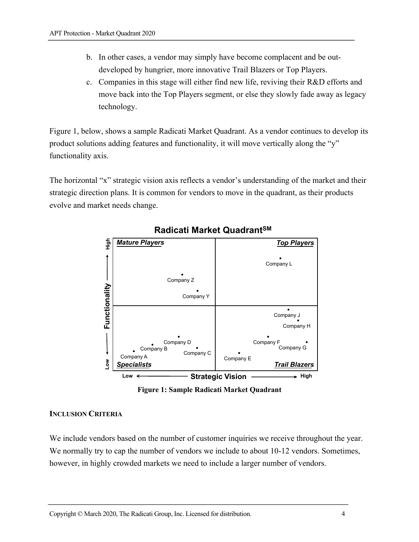- b. In other cases, a vendor may simply have become complacent and be outdeveloped by hungrier, more innovative Trail Blazers or Top Players.
- c. Companies in this stage will either find new life, reviving their R&D efforts and move back into the Top Players segment, or else they slowly fade away as legacy technology.

Figure 1, below, shows a sample Radicati Market Quadrant. As a vendor continues to develop its product solutions adding features and functionality, it will move vertically along the "y" functionality axis.

The horizontal "x" strategic vision axis reflects a vendor's understanding of the market and their strategic direction plans. It is common for vendors to move in the quadrant, as their products evolve and market needs change.



## **Radicati Market QuadrantSM**

**Figure 1: Sample Radicati Market Quadrant**

#### **INCLUSION CRITERIA**

We include vendors based on the number of customer inquiries we receive throughout the year. We normally try to cap the number of vendors we include to about 10-12 vendors. Sometimes, however, in highly crowded markets we need to include a larger number of vendors.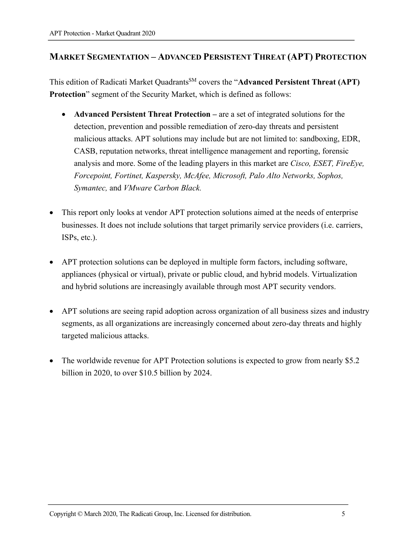## **MARKET SEGMENTATION – ADVANCED PERSISTENT THREAT (APT) PROTECTION**

This edition of Radicati Market Quadrants<sup>SM</sup> covers the "Advanced Persistent Threat (APT) **Protection**" segment of the Security Market, which is defined as follows:

- **Advanced Persistent Threat Protection –** are a set of integrated solutions for the detection, prevention and possible remediation of zero-day threats and persistent malicious attacks. APT solutions may include but are not limited to: sandboxing, EDR, CASB, reputation networks, threat intelligence management and reporting, forensic analysis and more. Some of the leading players in this market are *Cisco, ESET, FireEye, Forcepoint, Fortinet, Kaspersky, McAfee, Microsoft, Palo Alto Networks, Sophos, Symantec,* and *VMware Carbon Black.*
- This report only looks at vendor APT protection solutions aimed at the needs of enterprise businesses. It does not include solutions that target primarily service providers (i.e. carriers, ISPs, etc.).
- APT protection solutions can be deployed in multiple form factors, including software, appliances (physical or virtual), private or public cloud, and hybrid models. Virtualization and hybrid solutions are increasingly available through most APT security vendors.
- APT solutions are seeing rapid adoption across organization of all business sizes and industry segments, as all organizations are increasingly concerned about zero-day threats and highly targeted malicious attacks.
- The worldwide revenue for APT Protection solutions is expected to grow from nearly \$5.2 billion in 2020, to over \$10.5 billion by 2024.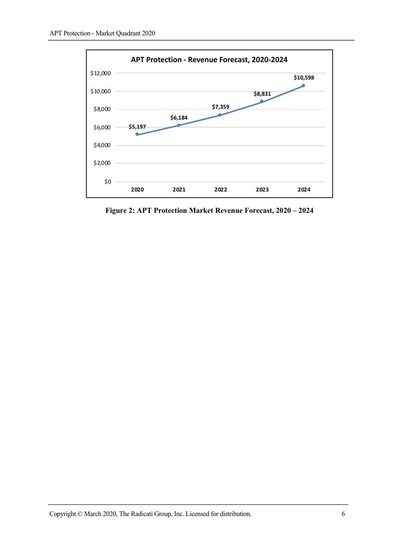

**Figure 2: APT Protection Market Revenue Forecast, 2020 – 2024**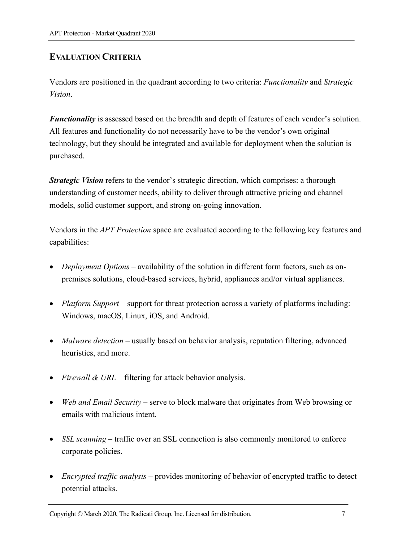## **EVALUATION CRITERIA**

Vendors are positioned in the quadrant according to two criteria: *Functionality* and *Strategic Vision*.

*Functionality* is assessed based on the breadth and depth of features of each vendor's solution. All features and functionality do not necessarily have to be the vendor's own original technology, but they should be integrated and available for deployment when the solution is purchased.

*Strategic Vision* refers to the vendor's strategic direction, which comprises: a thorough understanding of customer needs, ability to deliver through attractive pricing and channel models, solid customer support, and strong on-going innovation.

Vendors in the *APT Protection* space are evaluated according to the following key features and capabilities:

- *Deployment Options* availability of the solution in different form factors, such as onpremises solutions, cloud-based services, hybrid, appliances and/or virtual appliances.
- *Platform Support* support for threat protection across a variety of platforms including: Windows, macOS, Linux, iOS, and Android.
- *Malware detection* usually based on behavior analysis, reputation filtering, advanced heuristics, and more.
- *Firewall & URL* filtering for attack behavior analysis.
- *Web and Email Security* serve to block malware that originates from Web browsing or emails with malicious intent.
- *SSL scanning* traffic over an SSL connection is also commonly monitored to enforce corporate policies.
- *Encrypted traffic analysis* provides monitoring of behavior of encrypted traffic to detect potential attacks.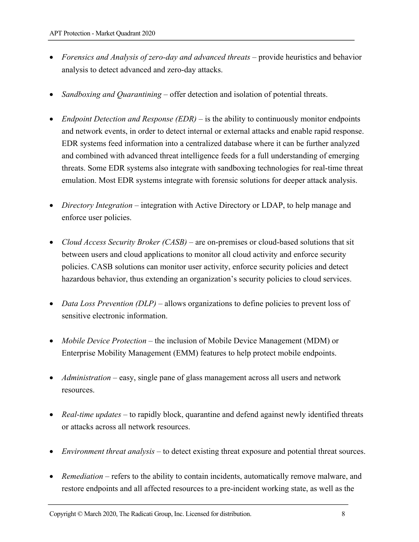- *Forensics and Analysis of zero-day and advanced threats* provide heuristics and behavior analysis to detect advanced and zero-day attacks.
- *Sandboxing and Quarantining* offer detection and isolation of potential threats.
- *Endpoint Detection and Response (EDR)* is the ability to continuously monitor endpoints and network events, in order to detect internal or external attacks and enable rapid response. EDR systems feed information into a centralized database where it can be further analyzed and combined with advanced threat intelligence feeds for a full understanding of emerging threats. Some EDR systems also integrate with sandboxing technologies for real-time threat emulation. Most EDR systems integrate with forensic solutions for deeper attack analysis.
- *Directory Integration* integration with Active Directory or LDAP, to help manage and enforce user policies.
- *Cloud Access Security Broker (CASB)* are on-premises or cloud-based solutions that sit between users and cloud applications to monitor all cloud activity and enforce security policies. CASB solutions can monitor user activity, enforce security policies and detect hazardous behavior, thus extending an organization's security policies to cloud services.
- *Data Loss Prevention (DLP)* allows organizations to define policies to prevent loss of sensitive electronic information.
- *Mobile Device Protection* the inclusion of Mobile Device Management (MDM) or Enterprise Mobility Management (EMM) features to help protect mobile endpoints.
- *Administration* easy, single pane of glass management across all users and network resources.
- *Real-time updates* to rapidly block, quarantine and defend against newly identified threats or attacks across all network resources.
- *Environment threat analysis* to detect existing threat exposure and potential threat sources.
- *Remediation* refers to the ability to contain incidents, automatically remove malware, and restore endpoints and all affected resources to a pre-incident working state, as well as the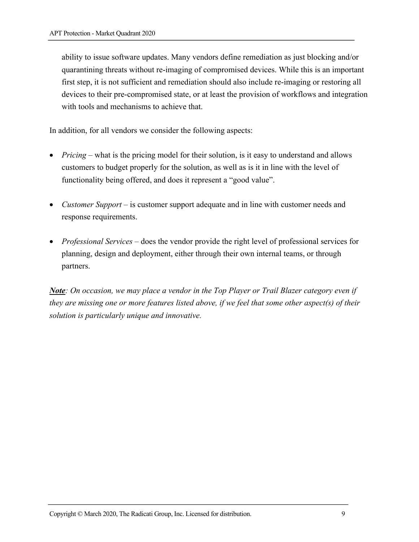ability to issue software updates. Many vendors define remediation as just blocking and/or quarantining threats without re-imaging of compromised devices. While this is an important first step, it is not sufficient and remediation should also include re-imaging or restoring all devices to their pre-compromised state, or at least the provision of workflows and integration with tools and mechanisms to achieve that.

In addition, for all vendors we consider the following aspects:

- *Pricing* what is the pricing model for their solution, is it easy to understand and allows customers to budget properly for the solution, as well as is it in line with the level of functionality being offered, and does it represent a "good value".
- *Customer Support* is customer support adequate and in line with customer needs and response requirements.
- *Professional Services* does the vendor provide the right level of professional services for planning, design and deployment, either through their own internal teams, or through partners.

*Note: On occasion, we may place a vendor in the Top Player or Trail Blazer category even if they are missing one or more features listed above, if we feel that some other aspect(s) of their solution is particularly unique and innovative.*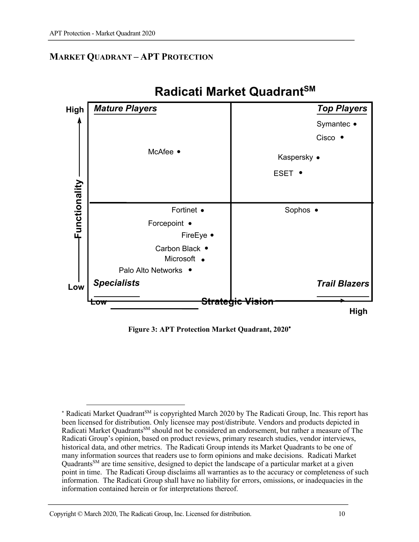## **MARKET QUADRANT – APT PROTECTION**



## **Radicati Market QuadrantSM**

**Figure 3: APT Protection Market Quadrant, 2020**\*

<sup>1</sup> \* Radicati Market Quadrant<sup>SM</sup> is copyrighted March 2020 by The Radicati Group, Inc. This report has been licensed for distribution. Only licensee may post/distribute. Vendors and products depicted in Radicati Market Quadrants<sup>SM</sup> should not be considered an endorsement, but rather a measure of The Radicati Group's opinion, based on product reviews, primary research studies, vendor interviews, historical data, and other metrics. The Radicati Group intends its Market Quadrants to be one of many information sources that readers use to form opinions and make decisions. Radicati Market QuadrantsSM are time sensitive, designed to depict the landscape of a particular market at a given point in time. The Radicati Group disclaims all warranties as to the accuracy or completeness of such information. The Radicati Group shall have no liability for errors, omissions, or inadequacies in the information contained herein or for interpretations thereof.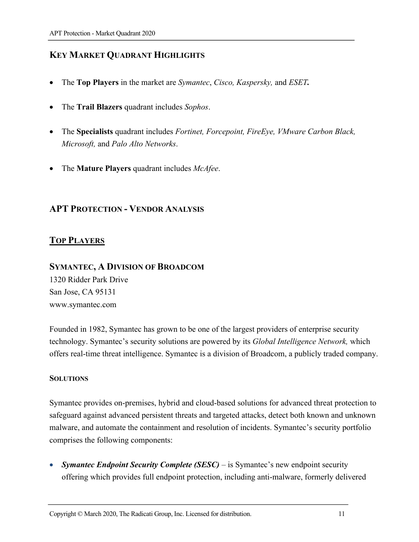## **KEY MARKET QUADRANT HIGHLIGHTS**

- The **Top Players** in the market are *Symantec*, *Cisco, Kaspersky,* and *ESET.*
- The **Trail Blazers** quadrant includes *Sophos*.
- The **Specialists** quadrant includes *Fortinet, Forcepoint, FireEye, VMware Carbon Black, Microsoft,* and *Palo Alto Networks*.
- The **Mature Players** quadrant includes *McAfee*.

## **APT PROTECTION - VENDOR ANALYSIS**

## **TOP PLAYERS**

## **SYMANTEC, A DIVISION OF BROADCOM**

1320 Ridder Park Drive San Jose, CA 95131 www.symantec.com

Founded in 1982, Symantec has grown to be one of the largest providers of enterprise security technology. Symantec's security solutions are powered by its *Global Intelligence Network,* which offers real-time threat intelligence. Symantec is a division of Broadcom, a publicly traded company.

#### **SOLUTIONS**

Symantec provides on-premises, hybrid and cloud-based solutions for advanced threat protection to safeguard against advanced persistent threats and targeted attacks, detect both known and unknown malware, and automate the containment and resolution of incidents. Symantec's security portfolio comprises the following components:

• *Symantec Endpoint Security Complete (SESC) –* is Symantec's new endpoint security offering which provides full endpoint protection, including anti-malware, formerly delivered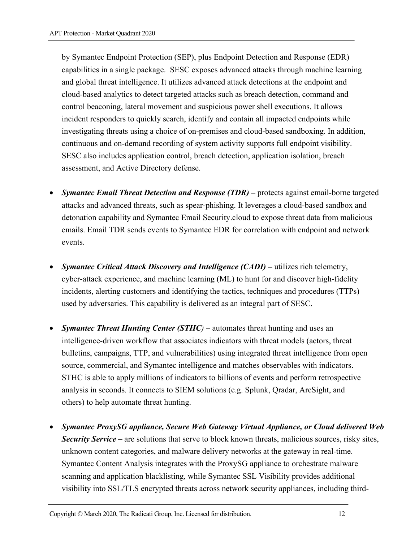by Symantec Endpoint Protection (SEP), plus Endpoint Detection and Response (EDR) capabilities in a single package. SESC exposes advanced attacks through machine learning and global threat intelligence. It utilizes advanced attack detections at the endpoint and cloud-based analytics to detect targeted attacks such as breach detection, command and control beaconing, lateral movement and suspicious power shell executions. It allows incident responders to quickly search, identify and contain all impacted endpoints while investigating threats using a choice of on-premises and cloud-based sandboxing. In addition, continuous and on-demand recording of system activity supports full endpoint visibility. SESC also includes application control, breach detection, application isolation, breach assessment, and Active Directory defense.

- *Symantec Email Threat Detection and Response (TDR)* **–** protects against email-borne targeted attacks and advanced threats, such as spear-phishing. It leverages a cloud-based sandbox and detonation capability and Symantec Email Security.cloud to expose threat data from malicious emails. Email TDR sends events to Symantec EDR for correlation with endpoint and network events.
- *Symantec Critical Attack Discovery and Intelligence (CADI)* **–** utilizes rich telemetry, cyber-attack experience, and machine learning (ML) to hunt for and discover high-fidelity incidents, alerting customers and identifying the tactics, techniques and procedures (TTPs) used by adversaries. This capability is delivered as an integral part of SESC.
- *Symantec Threat Hunting Center (STHC)* automates threat hunting and uses an intelligence-driven workflow that associates indicators with threat models (actors, threat bulletins, campaigns, TTP, and vulnerabilities) using integrated threat intelligence from open source, commercial, and Symantec intelligence and matches observables with indicators. STHC is able to apply millions of indicators to billions of events and perform retrospective analysis in seconds. It connects to SIEM solutions (e.g. Splunk, Qradar, ArcSight, and others) to help automate threat hunting.
- *Symantec ProxySG appliance, Secure Web Gateway Virtual Appliance, or Cloud delivered Web Security Service* **–** are solutions that serve to block known threats, malicious sources, risky sites, unknown content categories, and malware delivery networks at the gateway in real-time. Symantec Content Analysis integrates with the ProxySG appliance to orchestrate malware scanning and application blacklisting, while Symantec SSL Visibility provides additional visibility into SSL/TLS encrypted threats across network security appliances, including third-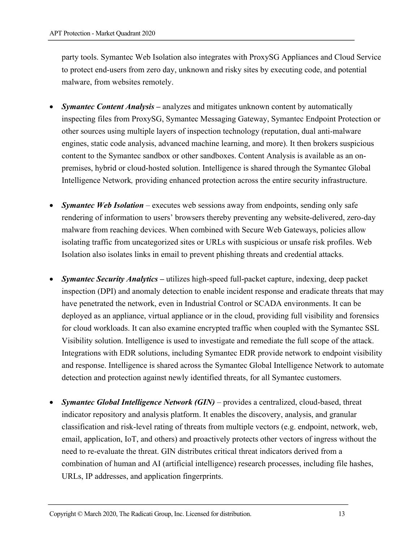party tools. Symantec Web Isolation also integrates with ProxySG Appliances and Cloud Service to protect end-users from zero day, unknown and risky sites by executing code, and potential malware, from websites remotely.

- *Symantec Content Analysis* **–** analyzes and mitigates unknown content by automatically inspecting files from ProxySG, Symantec Messaging Gateway, Symantec Endpoint Protection or other sources using multiple layers of inspection technology (reputation, dual anti-malware engines, static code analysis, advanced machine learning, and more). It then brokers suspicious content to the Symantec sandbox or other sandboxes. Content Analysis is available as an onpremises, hybrid or cloud-hosted solution. Intelligence is shared through the Symantec Global Intelligence Network*,* providing enhanced protection across the entire security infrastructure.
- *Symantec Web Isolation* executes web sessions away from endpoints, sending only safe rendering of information to users' browsers thereby preventing any website-delivered, zero-day malware from reaching devices. When combined with Secure Web Gateways, policies allow isolating traffic from uncategorized sites or URLs with suspicious or unsafe risk profiles. Web Isolation also isolates links in email to prevent phishing threats and credential attacks.
- *Symantec Security Analytics* **–** utilizes high-speed full-packet capture, indexing, deep packet inspection (DPI) and anomaly detection to enable incident response and eradicate threats that may have penetrated the network, even in Industrial Control or SCADA environments. It can be deployed as an appliance, virtual appliance or in the cloud, providing full visibility and forensics for cloud workloads. It can also examine encrypted traffic when coupled with the Symantec SSL Visibility solution. Intelligence is used to investigate and remediate the full scope of the attack. Integrations with EDR solutions, including Symantec EDR provide network to endpoint visibility and response. Intelligence is shared across the Symantec Global Intelligence Network to automate detection and protection against newly identified threats, for all Symantec customers.
- **Symantec Global Intelligence Network (GIN)** provides a centralized, cloud-based, threat indicator repository and analysis platform. It enables the discovery, analysis, and granular classification and risk-level rating of threats from multiple vectors (e.g. endpoint, network, web, email, application, IoT, and others) and proactively protects other vectors of ingress without the need to re-evaluate the threat. GIN distributes critical threat indicators derived from a combination of human and AI (artificial intelligence) research processes, including file hashes, URLs, IP addresses, and application fingerprints.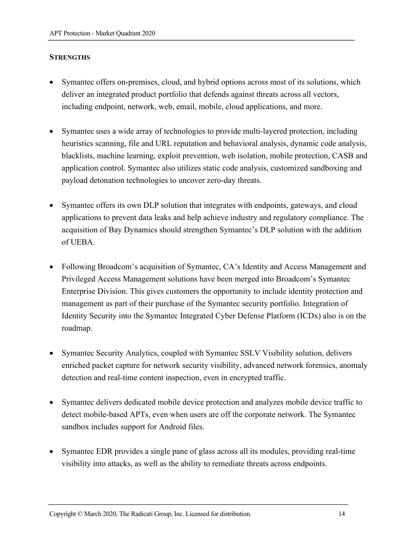#### **STRENGTHS**

- Symantec offers on-premises, cloud, and hybrid options across most of its solutions, which deliver an integrated product portfolio that defends against threats across all vectors, including endpoint, network, web, email, mobile, cloud applications, and more.
- Symantec uses a wide array of technologies to provide multi-layered protection, including heuristics scanning, file and URL reputation and behavioral analysis, dynamic code analysis, blacklists, machine learning, exploit prevention, web isolation, mobile protection, CASB and application control. Symantec also utilizes static code analysis, customized sandboxing and payload detonation technologies to uncover zero-day threats.
- Symantec offers its own DLP solution that integrates with endpoints, gateways, and cloud applications to prevent data leaks and help achieve industry and regulatory compliance. The acquisition of Bay Dynamics should strengthen Symantec's DLP solution with the addition of UEBA.
- Following Broadcom's acquisition of Symantec, CA's Identity and Access Management and Privileged Access Management solutions have been merged into Broadcom's Symantec Enterprise Division. This gives customers the opportunity to include identity protection and management as part of their purchase of the Symantec security portfolio. Integration of Identity Security into the Symantec Integrated Cyber Defense Platform (ICDx) also is on the roadmap.
- Symantec Security Analytics, coupled with Symantec SSLV Visibility solution, delivers enriched packet capture for network security visibility, advanced network forensics, anomaly detection and real-time content inspection, even in encrypted traffic.
- Symantec delivers dedicated mobile device protection and analyzes mobile device traffic to detect mobile-based APTs, even when users are off the corporate network. The Symantec sandbox includes support for Android files.
- Symantec EDR provides a single pane of glass across all its modules, providing real-time visibility into attacks, as well as the ability to remediate threats across endpoints.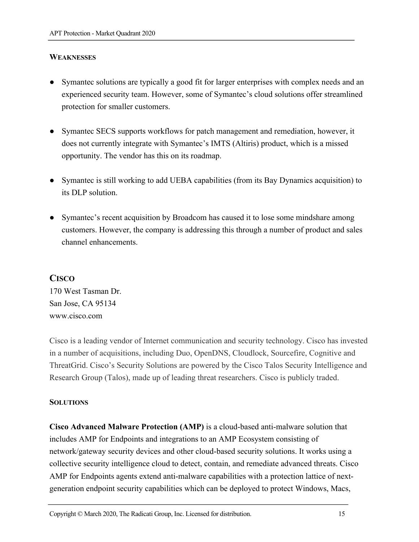#### **WEAKNESSES**

- Symantec solutions are typically a good fit for larger enterprises with complex needs and an experienced security team. However, some of Symantec's cloud solutions offer streamlined protection for smaller customers.
- Symantec SECS supports workflows for patch management and remediation, however, it does not currently integrate with Symantec's IMTS (Altiris) product, which is a missed opportunity. The vendor has this on its roadmap.
- Symantec is still working to add UEBA capabilities (from its Bay Dynamics acquisition) to its DLP solution.
- Symantec's recent acquisition by Broadcom has caused it to lose some mindshare among customers. However, the company is addressing this through a number of product and sales channel enhancements.

## **CISCO**

170 West Tasman Dr. San Jose, CA 95134 www.cisco.com

Cisco is a leading vendor of Internet communication and security technology. Cisco has invested in a number of acquisitions, including Duo, OpenDNS, Cloudlock, Sourcefire, Cognitive and ThreatGrid. Cisco's Security Solutions are powered by the Cisco Talos Security Intelligence and Research Group (Talos), made up of leading threat researchers. Cisco is publicly traded.

#### **SOLUTIONS**

**Cisco Advanced Malware Protection (AMP)** is a cloud-based anti-malware solution that includes AMP for Endpoints and integrations to an AMP Ecosystem consisting of network/gateway security devices and other cloud-based security solutions. It works using a collective security intelligence cloud to detect, contain, and remediate advanced threats. Cisco AMP for Endpoints agents extend anti-malware capabilities with a protection lattice of nextgeneration endpoint security capabilities which can be deployed to protect Windows, Macs,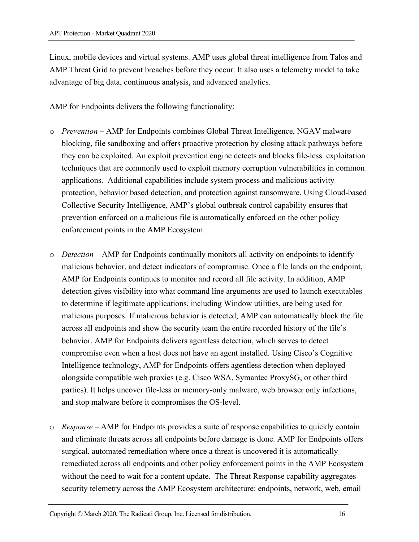Linux, mobile devices and virtual systems. AMP uses global threat intelligence from Talos and AMP Threat Grid to prevent breaches before they occur. It also uses a telemetry model to take advantage of big data, continuous analysis, and advanced analytics.

AMP for Endpoints delivers the following functionality:

- o *Prevention* AMP for Endpoints combines Global Threat Intelligence, NGAV malware blocking, file sandboxing and offers proactive protection by closing attack pathways before they can be exploited. An exploit prevention engine detects and blocks file-less exploitation techniques that are commonly used to exploit memory corruption vulnerabilities in common applications. Additional capabilities include system process and malicious activity protection, behavior based detection, and protection against ransomware. Using Cloud-based Collective Security Intelligence, AMP's global outbreak control capability ensures that prevention enforced on a malicious file is automatically enforced on the other policy enforcement points in the AMP Ecosystem.
- o *Detection* AMP for Endpoints continually monitors all activity on endpoints to identify malicious behavior, and detect indicators of compromise. Once a file lands on the endpoint, AMP for Endpoints continues to monitor and record all file activity. In addition, AMP detection gives visibility into what command line arguments are used to launch executables to determine if legitimate applications, including Window utilities, are being used for malicious purposes. If malicious behavior is detected, AMP can automatically block the file across all endpoints and show the security team the entire recorded history of the file's behavior. AMP for Endpoints delivers agentless detection, which serves to detect compromise even when a host does not have an agent installed. Using Cisco's Cognitive Intelligence technology, AMP for Endpoints offers agentless detection when deployed alongside compatible web proxies (e.g. Cisco WSA, Symantec ProxySG, or other third parties). It helps uncover file-less or memory-only malware, web browser only infections, and stop malware before it compromises the OS-level.
- o *Response* AMP for Endpoints provides a suite of response capabilities to quickly contain and eliminate threats across all endpoints before damage is done. AMP for Endpoints offers surgical, automated remediation where once a threat is uncovered it is automatically remediated across all endpoints and other policy enforcement points in the AMP Ecosystem without the need to wait for a content update. The Threat Response capability aggregates security telemetry across the AMP Ecosystem architecture: endpoints, network, web, email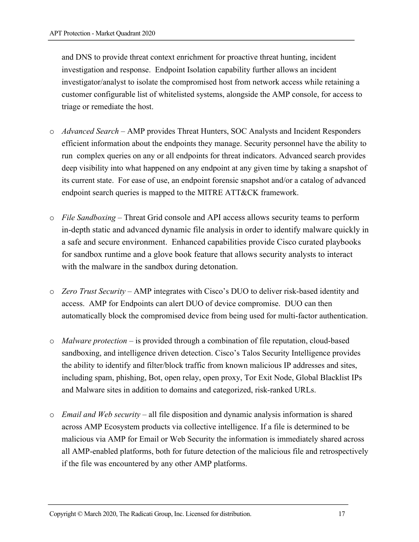and DNS to provide threat context enrichment for proactive threat hunting, incident investigation and response. Endpoint Isolation capability further allows an incident investigator/analyst to isolate the compromised host from network access while retaining a customer configurable list of whitelisted systems, alongside the AMP console, for access to triage or remediate the host.

- o *Advanced Search –* AMP provides Threat Hunters, SOC Analysts and Incident Responders efficient information about the endpoints they manage. Security personnel have the ability to run complex queries on any or all endpoints for threat indicators. Advanced search provides deep visibility into what happened on any endpoint at any given time by taking a snapshot of its current state. For ease of use, an endpoint forensic snapshot and/or a catalog of advanced endpoint search queries is mapped to the MITRE ATT&CK framework.
- o *File Sandboxing –* Threat Grid console and API access allows security teams to perform in-depth static and advanced dynamic file analysis in order to identify malware quickly in a safe and secure environment. Enhanced capabilities provide Cisco curated playbooks for sandbox runtime and a glove book feature that allows security analysts to interact with the malware in the sandbox during detonation.
- o *Zero Trust Security* AMP integrates with Cisco's DUO to deliver risk-based identity and access. AMP for Endpoints can alert DUO of device compromise. DUO can then automatically block the compromised device from being used for multi-factor authentication.
- o *Malware protection* is provided through a combination of file reputation, cloud-based sandboxing, and intelligence driven detection. Cisco's Talos Security Intelligence provides the ability to identify and filter/block traffic from known malicious IP addresses and sites, including spam, phishing, Bot, open relay, open proxy, Tor Exit Node, Global Blacklist IPs and Malware sites in addition to domains and categorized, risk-ranked URLs.
- o *Email and Web security*  all file disposition and dynamic analysis information is shared across AMP Ecosystem products via collective intelligence. If a file is determined to be malicious via AMP for Email or Web Security the information is immediately shared across all AMP-enabled platforms, both for future detection of the malicious file and retrospectively if the file was encountered by any other AMP platforms.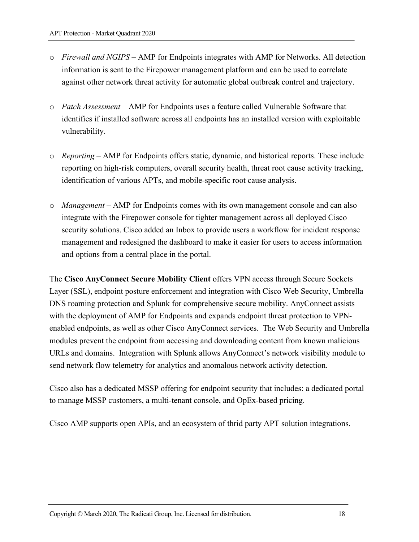- o *Firewall and NGIPS*  AMP for Endpoints integrates with AMP for Networks. All detection information is sent to the Firepower management platform and can be used to correlate against other network threat activity for automatic global outbreak control and trajectory.
- o *Patch Assessment* AMP for Endpoints uses a feature called Vulnerable Software that identifies if installed software across all endpoints has an installed version with exploitable vulnerability.
- o *Reporting*  AMP for Endpoints offers static, dynamic, and historical reports. These include reporting on high-risk computers, overall security health, threat root cause activity tracking, identification of various APTs, and mobile-specific root cause analysis.
- o *Management*  AMP for Endpoints comes with its own management console and can also integrate with the Firepower console for tighter management across all deployed Cisco security solutions. Cisco added an Inbox to provide users a workflow for incident response management and redesigned the dashboard to make it easier for users to access information and options from a central place in the portal.

The **Cisco AnyConnect Secure Mobility Client** offers VPN access through Secure Sockets Layer (SSL), endpoint posture enforcement and integration with Cisco Web Security, Umbrella DNS roaming protection and Splunk for comprehensive secure mobility. AnyConnect assists with the deployment of AMP for Endpoints and expands endpoint threat protection to VPNenabled endpoints, as well as other Cisco AnyConnect services. The Web Security and Umbrella modules prevent the endpoint from accessing and downloading content from known malicious URLs and domains. Integration with Splunk allows AnyConnect's network visibility module to send network flow telemetry for analytics and anomalous network activity detection.

Cisco also has a dedicated MSSP offering for endpoint security that includes: a dedicated portal to manage MSSP customers, a multi-tenant console, and OpEx-based pricing.

Cisco AMP supports open APIs, and an ecosystem of thrid party APT solution integrations.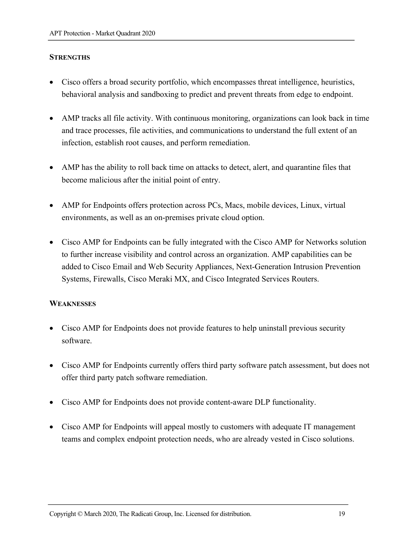#### **STRENGTHS**

- Cisco offers a broad security portfolio, which encompasses threat intelligence, heuristics, behavioral analysis and sandboxing to predict and prevent threats from edge to endpoint.
- AMP tracks all file activity. With continuous monitoring, organizations can look back in time and trace processes, file activities, and communications to understand the full extent of an infection, establish root causes, and perform remediation.
- AMP has the ability to roll back time on attacks to detect, alert, and quarantine files that become malicious after the initial point of entry.
- AMP for Endpoints offers protection across PCs, Macs, mobile devices, Linux, virtual environments, as well as an on-premises private cloud option.
- Cisco AMP for Endpoints can be fully integrated with the Cisco AMP for Networks solution to further increase visibility and control across an organization. AMP capabilities can be added to Cisco Email and Web Security Appliances, Next-Generation Intrusion Prevention Systems, Firewalls, Cisco Meraki MX, and Cisco Integrated Services Routers.

#### **WEAKNESSES**

- Cisco AMP for Endpoints does not provide features to help uninstall previous security software.
- Cisco AMP for Endpoints currently offers third party software patch assessment, but does not offer third party patch software remediation.
- Cisco AMP for Endpoints does not provide content-aware DLP functionality.
- Cisco AMP for Endpoints will appeal mostly to customers with adequate IT management teams and complex endpoint protection needs, who are already vested in Cisco solutions.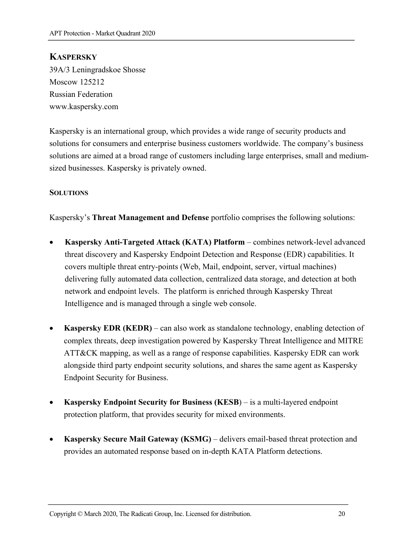## **KASPERSKY**

39A/3 Leningradskoe Shosse Moscow 125212 Russian Federation www.kaspersky.com

Kaspersky is an international group, which provides a wide range of security products and solutions for consumers and enterprise business customers worldwide. The company's business solutions are aimed at a broad range of customers including large enterprises, small and mediumsized businesses. Kaspersky is privately owned.

#### **SOLUTIONS**

Kaspersky's **Threat Management and Defense** portfolio comprises the following solutions:

- **Kaspersky Anti-Targeted Attack (KATA) Platform** combines network-level advanced threat discovery and Kaspersky Endpoint Detection and Response (EDR) capabilities. It covers multiple threat entry-points (Web, Mail, endpoint, server, virtual machines) delivering fully automated data collection, centralized data storage, and detection at both network and endpoint levels. The platform is enriched through Kaspersky Threat Intelligence and is managed through a single web console.
- **Kaspersky EDR (KEDR)** can also work as standalone technology, enabling detection of complex threats, deep investigation powered by Kaspersky Threat Intelligence and MITRE ATT&CK mapping, as well as a range of response capabilities. Kaspersky EDR can work alongside third party endpoint security solutions, and shares the same agent as Kaspersky Endpoint Security for Business.
- **Kaspersky Endpoint Security for Business (KESB**) is a multi-layered endpoint protection platform, that provides security for mixed environments.
- **Kaspersky Secure Mail Gateway (KSMG)** delivers email-based threat protection and provides an automated response based on in-depth KATA Platform detections.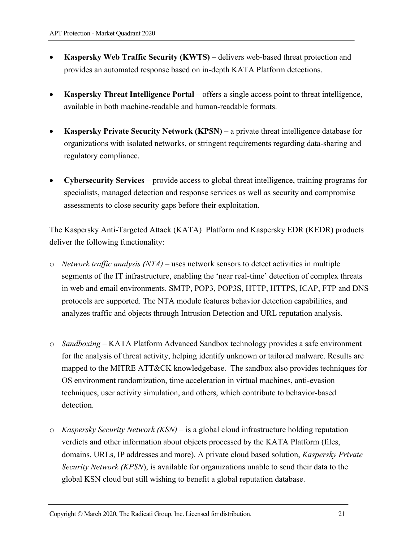- **Kaspersky Web Traffic Security (KWTS)** delivers web-based threat protection and provides an automated response based on in-depth KATA Platform detections.
- **Kaspersky Threat Intelligence Portal** offers a single access point to threat intelligence, available in both machine-readable and human-readable formats.
- **Kaspersky Private Security Network (KPSN)** a private threat intelligence database for organizations with isolated networks, or stringent requirements regarding data-sharing and regulatory compliance.
- **Cybersecurity Services** provide access to global threat intelligence, training programs for specialists, managed detection and response services as well as security and compromise assessments to close security gaps before their exploitation.

The Kaspersky Anti-Targeted Attack (KATA) Platform and Kaspersky EDR (KEDR) products deliver the following functionality:

- o *Network traffic analysis (NTA)* uses network sensors to detect activities in multiple segments of the IT infrastructure, enabling the 'near real-time' detection of complex threats in web and email environments. SMTP, POP3, POP3S, HTTP, HTTPS, ICAP, FTP and DNS protocols are supported. The NTA module features behavior detection capabilities, and analyzes traffic and objects through Intrusion Detection and URL reputation analysis*.*
- o *Sandboxing*  KATA Platform Advanced Sandbox technology provides a safe environment for the analysis of threat activity, helping identify unknown or tailored malware. Results are mapped to the MITRE ATT&CK knowledgebase. The sandbox also provides techniques for OS environment randomization, time acceleration in virtual machines, anti-evasion techniques, user activity simulation, and others, which contribute to behavior-based detection.
- o *Kaspersky Security Network (KSN)*  is a global cloud infrastructure holding reputation verdicts and other information about objects processed by the KATA Platform (files, domains, URLs, IP addresses and more). A private cloud based solution, *Kaspersky Private Security Network (KPSN*), is available for organizations unable to send their data to the global KSN cloud but still wishing to benefit a global reputation database.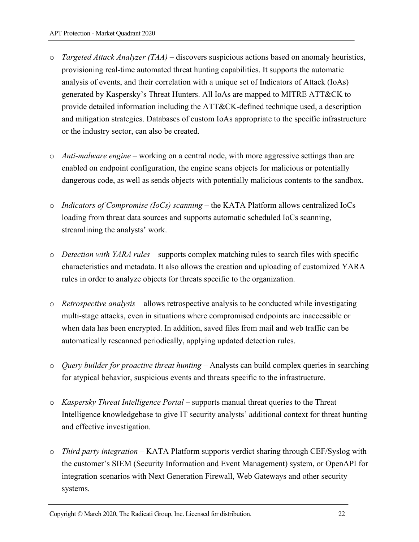- o *Targeted Attack Analyzer (TAA)* discovers suspicious actions based on anomaly heuristics, provisioning real-time automated threat hunting capabilities. It supports the automatic analysis of events, and their correlation with a unique set of Indicators of Attack (IoAs) generated by Kaspersky's Threat Hunters. All IoAs are mapped to MITRE ATT&CK to provide detailed information including the ATT&CK-defined technique used, a description and mitigation strategies. Databases of custom IoAs appropriate to the specific infrastructure or the industry sector, can also be created.
- o *Anti-malware engine* working on a central node, with more aggressive settings than are enabled on endpoint configuration, the engine scans objects for malicious or potentially dangerous code, as well as sends objects with potentially malicious contents to the sandbox.
- o *Indicators of Compromise (IoCs) scanning*  the KATA Platform allows centralized IoCs loading from threat data sources and supports automatic scheduled IoCs scanning, streamlining the analysts' work.
- o *Detection with YARA rules* supports complex matching rules to search files with specific characteristics and metadata. It also allows the creation and uploading of customized YARA rules in order to analyze objects for threats specific to the organization.
- o *Retrospective analysis* allows retrospective analysis to be conducted while investigating multi-stage attacks, even in situations where compromised endpoints are inaccessible or when data has been encrypted. In addition, saved files from mail and web traffic can be automatically rescanned periodically, applying updated detection rules.
- o *Query builder for proactive threat hunting* Analysts can build complex queries in searching for atypical behavior, suspicious events and threats specific to the infrastructure.
- o *Kaspersky Threat Intelligence Portal* supports manual threat queries to the Threat Intelligence knowledgebase to give IT security analysts' additional context for threat hunting and effective investigation.
- o *Third party integration* KATA Platform supports verdict sharing through CEF/Syslog with the customer's SIEM (Security Information and Event Management) system, or OpenAPI for integration scenarios with Next Generation Firewall, Web Gateways and other security systems.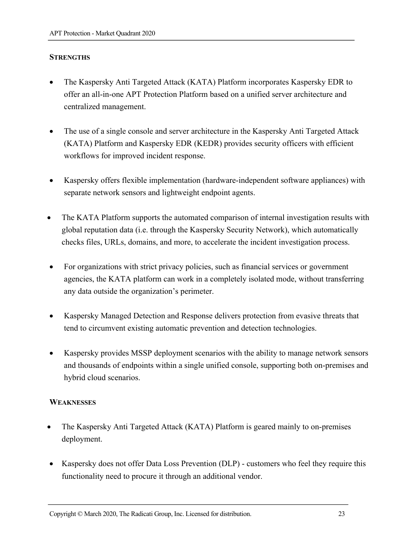#### **STRENGTHS**

- The Kaspersky Anti Targeted Attack (KATA) Platform incorporates Kaspersky EDR to offer an all-in-one APT Protection Platform based on a unified server architecture and centralized management.
- The use of a single console and server architecture in the Kaspersky Anti Targeted Attack (KATA) Platform and Kaspersky EDR (KEDR) provides security officers with efficient workflows for improved incident response.
- Kaspersky offers flexible implementation (hardware-independent software appliances) with separate network sensors and lightweight endpoint agents.
- The KATA Platform supports the automated comparison of internal investigation results with global reputation data (i.e. through the Kaspersky Security Network), which automatically checks files, URLs, domains, and more, to accelerate the incident investigation process.
- For organizations with strict privacy policies, such as financial services or government agencies, the KATA platform can work in a completely isolated mode, without transferring any data outside the organization's perimeter.
- Kaspersky Managed Detection and Response delivers protection from evasive threats that tend to circumvent existing automatic prevention and detection technologies.
- Kaspersky provides MSSP deployment scenarios with the ability to manage network sensors and thousands of endpoints within a single unified console, supporting both on-premises and hybrid cloud scenarios.

#### **WEAKNESSES**

- The Kaspersky Anti Targeted Attack (KATA) Platform is geared mainly to on-premises deployment.
- Kaspersky does not offer Data Loss Prevention (DLP) customers who feel they require this functionality need to procure it through an additional vendor.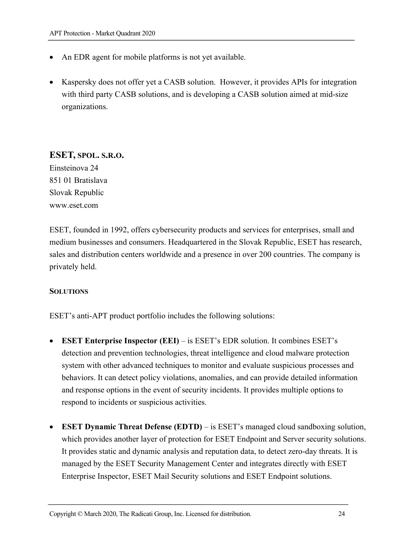- An EDR agent for mobile platforms is not yet available.
- Kaspersky does not offer yet a CASB solution. However, it provides APIs for integration with third party CASB solutions, and is developing a CASB solution aimed at mid-size organizations.

## **ESET, SPOL. S.R.O.**

Einsteinova 24 851 01 Bratislava Slovak Republic www.eset.com

ESET, founded in 1992, offers cybersecurity products and services for enterprises, small and medium businesses and consumers. Headquartered in the Slovak Republic, ESET has research, sales and distribution centers worldwide and a presence in over 200 countries. The company is privately held.

#### **SOLUTIONS**

ESET's anti-APT product portfolio includes the following solutions:

- **ESET Enterprise Inspector (EEI)** is ESET's EDR solution. It combines ESET's detection and prevention technologies, threat intelligence and cloud malware protection system with other advanced techniques to monitor and evaluate suspicious processes and behaviors. It can detect policy violations, anomalies, and can provide detailed information and response options in the event of security incidents. It provides multiple options to respond to incidents or suspicious activities.
- **ESET Dynamic Threat Defense (EDTD)** is ESET's managed cloud sandboxing solution, which provides another layer of protection for ESET Endpoint and Server security solutions. It provides static and dynamic analysis and reputation data, to detect zero-day threats. It is managed by the ESET Security Management Center and integrates directly with ESET Enterprise Inspector, ESET Mail Security solutions and ESET Endpoint solutions.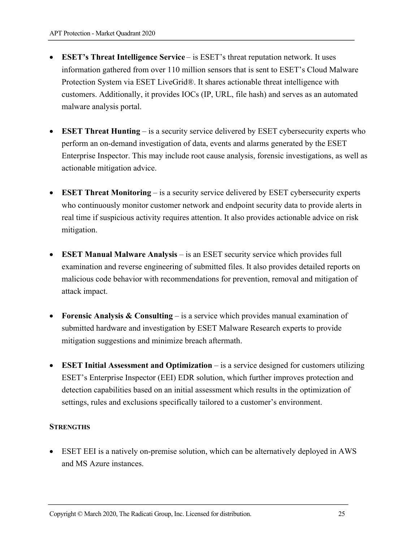- **ESET's Threat Intelligence Service** is ESET's threat reputation network. It uses information gathered from over 110 million sensors that is sent to ESET's Cloud Malware Protection System via ESET LiveGrid®. It shares actionable threat intelligence with customers. Additionally, it provides IOCs (IP, URL, file hash) and serves as an automated malware analysis portal.
- **ESET Threat Hunting** is a security service delivered by ESET cybersecurity experts who perform an on-demand investigation of data, events and alarms generated by the ESET Enterprise Inspector. This may include root cause analysis, forensic investigations, as well as actionable mitigation advice.
- **ESET Threat Monitoring** is a security service delivered by ESET cybersecurity experts who continuously monitor customer network and endpoint security data to provide alerts in real time if suspicious activity requires attention. It also provides actionable advice on risk mitigation.
- **ESET Manual Malware Analysis**  is an ESET security service which provides full examination and reverse engineering of submitted files. It also provides detailed reports on malicious code behavior with recommendations for prevention, removal and mitigation of attack impact.
- **Forensic Analysis & Consulting**  is a service which provides manual examination of submitted hardware and investigation by ESET Malware Research experts to provide mitigation suggestions and minimize breach aftermath.
- **ESET Initial Assessment and Optimization** is a service designed for customers utilizing ESET's Enterprise Inspector (EEI) EDR solution, which further improves protection and detection capabilities based on an initial assessment which results in the optimization of settings, rules and exclusions specifically tailored to a customer's environment.

#### **STRENGTHS**

• ESET EEI is a natively on-premise solution, which can be alternatively deployed in AWS and MS Azure instances.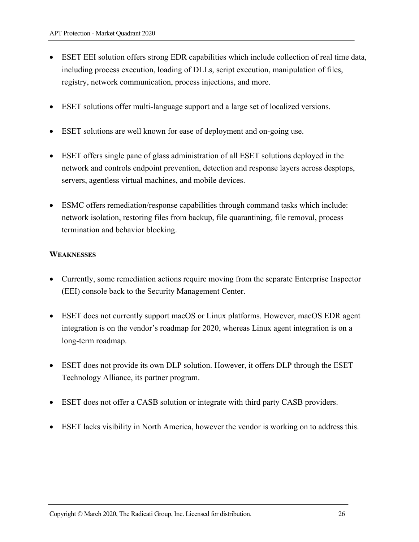- ESET EEI solution offers strong EDR capabilities which include collection of real time data, including process execution, loading of DLLs, script execution, manipulation of files, registry, network communication, process injections, and more.
- ESET solutions offer multi-language support and a large set of localized versions.
- ESET solutions are well known for ease of deployment and on-going use.
- ESET offers single pane of glass administration of all ESET solutions deployed in the network and controls endpoint prevention, detection and response layers across desptops, servers, agentless virtual machines, and mobile devices.
- ESMC offers remediation/response capabilities through command tasks which include: network isolation, restoring files from backup, file quarantining, file removal, process termination and behavior blocking.

#### **WEAKNESSES**

- Currently, some remediation actions require moving from the separate Enterprise Inspector (EEI) console back to the Security Management Center.
- ESET does not currently support macOS or Linux platforms. However, macOS EDR agent integration is on the vendor's roadmap for 2020, whereas Linux agent integration is on a long-term roadmap.
- ESET does not provide its own DLP solution. However, it offers DLP through the ESET Technology Alliance, its partner program.
- ESET does not offer a CASB solution or integrate with third party CASB providers.
- ESET lacks visibility in North America, however the vendor is working on to address this.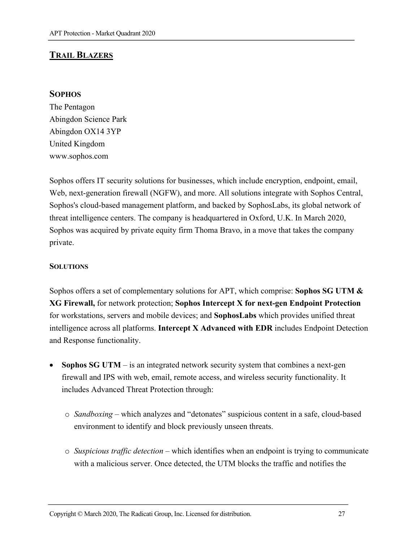## **TRAIL BLAZERS**

#### **SOPHOS**

The Pentagon Abingdon Science Park Abingdon OX14 3YP United Kingdom www.sophos.com

Sophos offers IT security solutions for businesses, which include encryption, endpoint, email, Web, next-generation firewall (NGFW), and more. All solutions integrate with Sophos Central, Sophos's cloud-based management platform, and backed by SophosLabs, its global network of threat intelligence centers. The company is headquartered in Oxford, U.K. In March 2020, Sophos was acquired by private equity firm Thoma Bravo, in a move that takes the company private.

#### **SOLUTIONS**

Sophos offers a set of complementary solutions for APT, which comprise: **Sophos SG UTM & XG Firewall,** for network protection; **Sophos Intercept X for next-gen Endpoint Protection** for workstations, servers and mobile devices; and **SophosLabs** which provides unified threat intelligence across all platforms. **Intercept X Advanced with EDR** includes Endpoint Detection and Response functionality.

- **Sophos SG UTM** is an integrated network security system that combines a next-gen firewall and IPS with web, email, remote access, and wireless security functionality. It includes Advanced Threat Protection through:
	- o *Sandboxing* which analyzes and "detonates" suspicious content in a safe, cloud-based environment to identify and block previously unseen threats.
	- o *Suspicious traffic detection* which identifies when an endpoint is trying to communicate with a malicious server. Once detected, the UTM blocks the traffic and notifies the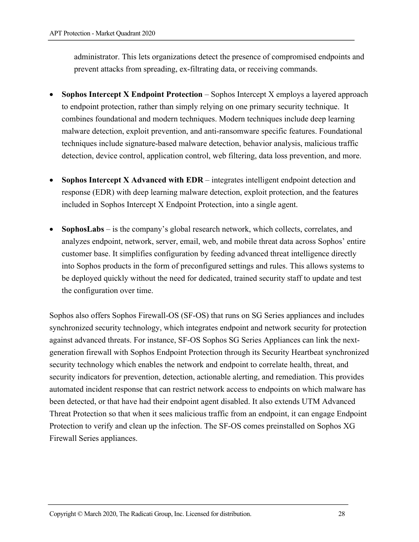administrator. This lets organizations detect the presence of compromised endpoints and prevent attacks from spreading, ex-filtrating data, or receiving commands.

- **Sophos Intercept X Endpoint Protection** Sophos Intercept X employs a layered approach to endpoint protection, rather than simply relying on one primary security technique. It combines foundational and modern techniques. Modern techniques include deep learning malware detection, exploit prevention, and anti-ransomware specific features. Foundational techniques include signature-based malware detection, behavior analysis, malicious traffic detection, device control, application control, web filtering, data loss prevention, and more.
- **Sophos Intercept X Advanced with EDR** integrates intelligent endpoint detection and response (EDR) with deep learning malware detection, exploit protection, and the features included in Sophos Intercept X Endpoint Protection, into a single agent.
- **SophosLabs** is the company's global research network, which collects, correlates, and analyzes endpoint, network, server, email, web, and mobile threat data across Sophos' entire customer base. It simplifies configuration by feeding advanced threat intelligence directly into Sophos products in the form of preconfigured settings and rules. This allows systems to be deployed quickly without the need for dedicated, trained security staff to update and test the configuration over time.

Sophos also offers Sophos Firewall-OS (SF-OS) that runs on SG Series appliances and includes synchronized security technology, which integrates endpoint and network security for protection against advanced threats. For instance, SF-OS Sophos SG Series Appliances can link the nextgeneration firewall with Sophos Endpoint Protection through its Security Heartbeat synchronized security technology which enables the network and endpoint to correlate health, threat, and security indicators for prevention, detection, actionable alerting, and remediation. This provides automated incident response that can restrict network access to endpoints on which malware has been detected, or that have had their endpoint agent disabled. It also extends UTM Advanced Threat Protection so that when it sees malicious traffic from an endpoint, it can engage Endpoint Protection to verify and clean up the infection. The SF-OS comes preinstalled on Sophos XG Firewall Series appliances.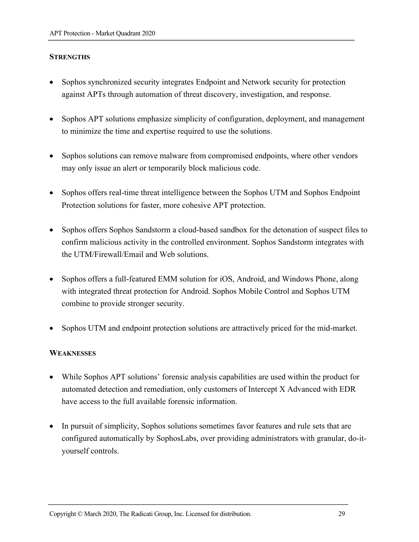#### **STRENGTHS**

- Sophos synchronized security integrates Endpoint and Network security for protection against APTs through automation of threat discovery, investigation, and response.
- Sophos APT solutions emphasize simplicity of configuration, deployment, and management to minimize the time and expertise required to use the solutions.
- Sophos solutions can remove malware from compromised endpoints, where other vendors may only issue an alert or temporarily block malicious code.
- Sophos offers real-time threat intelligence between the Sophos UTM and Sophos Endpoint Protection solutions for faster, more cohesive APT protection.
- Sophos offers Sophos Sandstorm a cloud-based sandbox for the detonation of suspect files to confirm malicious activity in the controlled environment. Sophos Sandstorm integrates with the UTM/Firewall/Email and Web solutions.
- Sophos offers a full-featured EMM solution for iOS, Android, and Windows Phone, along with integrated threat protection for Android. Sophos Mobile Control and Sophos UTM combine to provide stronger security.
- Sophos UTM and endpoint protection solutions are attractively priced for the mid-market.

#### **WEAKNESSES**

- While Sophos APT solutions' forensic analysis capabilities are used within the product for automated detection and remediation, only customers of Intercept X Advanced with EDR have access to the full available forensic information.
- In pursuit of simplicity, Sophos solutions sometimes favor features and rule sets that are configured automatically by SophosLabs, over providing administrators with granular, do-ityourself controls.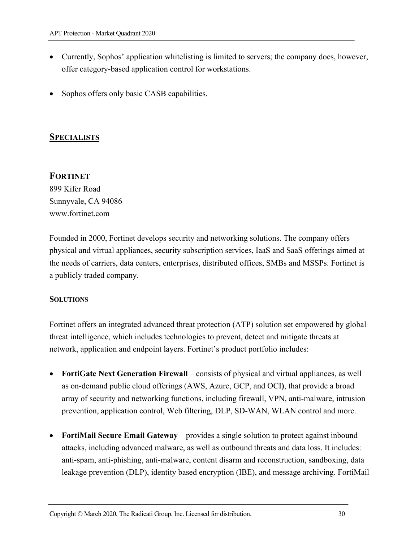- Currently, Sophos' application whitelisting is limited to servers; the company does, however, offer category-based application control for workstations.
- Sophos offers only basic CASB capabilities.

## **SPECIALISTS**

## **FORTINET**

899 Kifer Road Sunnyvale, CA 94086 www.fortinet.com

Founded in 2000, Fortinet develops security and networking solutions. The company offers physical and virtual appliances, security subscription services, IaaS and SaaS offerings aimed at the needs of carriers, data centers, enterprises, distributed offices, SMBs and MSSPs. Fortinet is a publicly traded company.

#### **SOLUTIONS**

Fortinet offers an integrated advanced threat protection (ATP) solution set empowered by global threat intelligence, which includes technologies to prevent, detect and mitigate threats at network, application and endpoint layers. Fortinet's product portfolio includes:

- **FortiGate Next Generation Firewall** consists of physical and virtual appliances, as well as on-demand public cloud offerings (AWS, Azure, GCP, and OCI**)**, that provide a broad array of security and networking functions, including firewall, VPN, anti-malware, intrusion prevention, application control, Web filtering, DLP, SD-WAN, WLAN control and more.
- **FortiMail Secure Email Gateway** provides a single solution to protect against inbound attacks, including advanced malware, as well as outbound threats and data loss. It includes: anti-spam, anti-phishing, anti-malware, content disarm and reconstruction, sandboxing, data leakage prevention (DLP), identity based encryption (IBE), and message archiving. FortiMail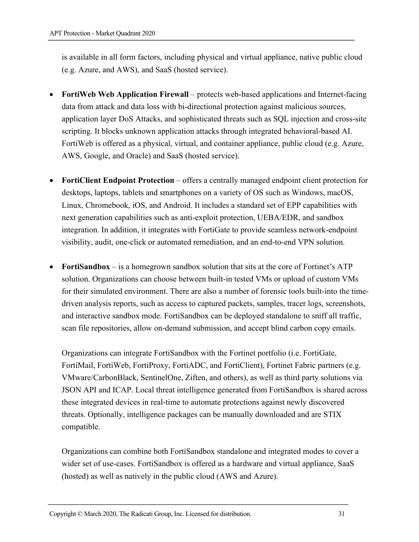is available in all form factors, including physical and virtual appliance, native public cloud (e.g. Azure, and AWS), and SaaS (hosted service).

- **FortiWeb Web Application Firewall** protects web-based applications and Internet-facing data from attack and data loss with bi-directional protection against malicious sources, application layer DoS Attacks, and sophisticated threats such as SQL injection and cross-site scripting. It blocks unknown application attacks through integrated behavioral-based AI. FortiWeb is offered as a physical, virtual, and container appliance, public cloud (e.g. Azure, AWS, Google, and Oracle) and SaaS (hosted service).
- **FortiClient Endpoint Protection** offers a centrally managed endpoint client protection for desktops, laptops, tablets and smartphones on a variety of OS such as Windows, macOS, Linux, Chromebook, iOS, and Android. It includes a standard set of EPP capabilities with next generation capabilities such as anti-exploit protection, UEBA/EDR, and sandbox integration. In addition, it integrates with FortiGate to provide seamless network-endpoint visibility, audit, one-click or automated remediation, and an end-to-end VPN solution.
- **FortiSandbox** is a homegrown sandbox solution that sits at the core of Fortinet's ATP solution. Organizations can choose between built-in tested VMs or upload of custom VMs for their simulated environment. There are also a number of forensic tools built-into the timedriven analysis reports, such as access to captured packets, samples, tracer logs, screenshots, and interactive sandbox mode. FortiSandbox can be deployed standalone to sniff all traffic, scan file repositories, allow on-demand submission, and accept blind carbon copy emails.

Organizations can integrate FortiSandbox with the Fortinet portfolio (i.e. FortiGate, FortiMail, FortiWeb, FortiProxy, FortiADC, and FortiClient), Fortinet Fabric partners (e.g. VMware/CarbonBlack, SentinelOne, Ziften, and others), as well as third party solutions via JSON API and ICAP. Local threat intelligence generated from FortiSandbox is shared across these integrated devices in real-time to automate protections against newly discovered threats. Optionally, intelligence packages can be manually downloaded and are STIX compatible.

Organizations can combine both FortiSandbox standalone and integrated modes to cover a wider set of use-cases. FortiSandbox is offered as a hardware and virtual appliance, SaaS (hosted) as well as natively in the public cloud (AWS and Azure).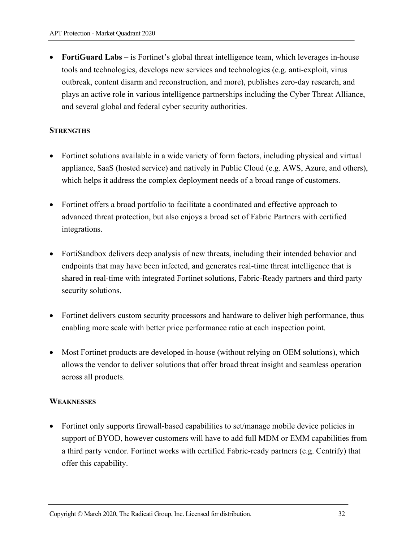• **FortiGuard Labs** – is Fortinet's global threat intelligence team, which leverages in-house tools and technologies, develops new services and technologies (e.g. anti-exploit, virus outbreak, content disarm and reconstruction, and more), publishes zero-day research, and plays an active role in various intelligence partnerships including the Cyber Threat Alliance, and several global and federal cyber security authorities.

#### **STRENGTHS**

- Fortinet solutions available in a wide variety of form factors, including physical and virtual appliance, SaaS (hosted service) and natively in Public Cloud (e.g. AWS, Azure, and others), which helps it address the complex deployment needs of a broad range of customers.
- Fortinet offers a broad portfolio to facilitate a coordinated and effective approach to advanced threat protection, but also enjoys a broad set of Fabric Partners with certified integrations.
- FortiSandbox delivers deep analysis of new threats, including their intended behavior and endpoints that may have been infected, and generates real-time threat intelligence that is shared in real-time with integrated Fortinet solutions, Fabric-Ready partners and third party security solutions.
- Fortinet delivers custom security processors and hardware to deliver high performance, thus enabling more scale with better price performance ratio at each inspection point.
- Most Fortinet products are developed in-house (without relying on OEM solutions), which allows the vendor to deliver solutions that offer broad threat insight and seamless operation across all products.

#### **WEAKNESSES**

• Fortinet only supports firewall-based capabilities to set/manage mobile device policies in support of BYOD, however customers will have to add full MDM or EMM capabilities from a third party vendor. Fortinet works with certified Fabric-ready partners (e.g. Centrify) that offer this capability.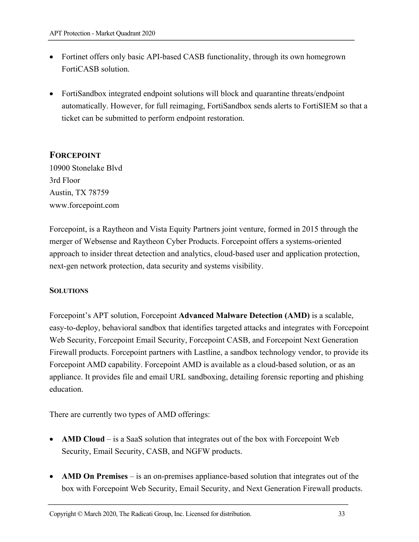- Fortinet offers only basic API-based CASB functionality, through its own homegrown FortiCASB solution.
- FortiSandbox integrated endpoint solutions will block and quarantine threats/endpoint automatically. However, for full reimaging, FortiSandbox sends alerts to FortiSIEM so that a ticket can be submitted to perform endpoint restoration.

## **FORCEPOINT**

10900 Stonelake Blvd 3rd Floor Austin, TX 78759 www.forcepoint.com

Forcepoint, is a Raytheon and Vista Equity Partners joint venture, formed in 2015 through the merger of Websense and Raytheon Cyber Products. Forcepoint offers a systems-oriented approach to insider threat detection and analytics, cloud-based user and application protection, next-gen network protection, data security and systems visibility.

#### **SOLUTIONS**

Forcepoint's APT solution, Forcepoint **Advanced Malware Detection (AMD)** is a scalable, easy-to-deploy, behavioral sandbox that identifies targeted attacks and integrates with Forcepoint Web Security, Forcepoint Email Security, Forcepoint CASB, and Forcepoint Next Generation Firewall products. Forcepoint partners with Lastline, a sandbox technology vendor, to provide its Forcepoint AMD capability. Forcepoint AMD is available as a cloud-based solution, or as an appliance. It provides file and email URL sandboxing, detailing forensic reporting and phishing education.

There are currently two types of AMD offerings:

- **AMD Cloud** is a SaaS solution that integrates out of the box with Forcepoint Web Security, Email Security, CASB, and NGFW products.
- **AMD On Premises** *–* is an on-premises appliance-based solution that integrates out of the box with Forcepoint Web Security, Email Security, and Next Generation Firewall products.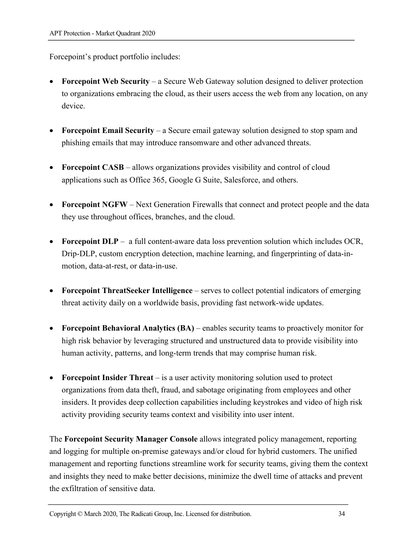Forcepoint's product portfolio includes:

- **Forcepoint Web Security** *–* a Secure Web Gateway solution designed to deliver protection to organizations embracing the cloud, as their users access the web from any location, on any device.
- **Forcepoint Email Security** *–* a Secure email gateway solution designed to stop spam and phishing emails that may introduce ransomware and other advanced threats.
- **Forcepoint CASB** *–* allows organizations provides visibility and control of cloud applications such as Office 365, Google G Suite, Salesforce, and others.
- **Forcepoint NGFW** Next Generation Firewalls that connect and protect people and the data they use throughout offices, branches, and the cloud.
- **Forcepoint DLP** *–* a full content-aware data loss prevention solution which includes OCR, Drip-DLP, custom encryption detection, machine learning, and fingerprinting of data-inmotion, data-at-rest, or data-in-use.
- **Forcepoint ThreatSeeker Intelligence** serves to collect potential indicators of emerging threat activity daily on a worldwide basis, providing fast network-wide updates.
- **Forcepoint Behavioral Analytics (BA)** enables security teams to proactively monitor for high risk behavior by leveraging structured and unstructured data to provide visibility into human activity, patterns, and long-term trends that may comprise human risk.
- **Forcepoint Insider Threat** is a user activity monitoring solution used to protect organizations from data theft, fraud, and sabotage originating from employees and other insiders. It provides deep collection capabilities including keystrokes and video of high risk activity providing security teams context and visibility into user intent.

The **Forcepoint Security Manager Console** allows integrated policy management, reporting and logging for multiple on-premise gateways and/or cloud for hybrid customers. The unified management and reporting functions streamline work for security teams, giving them the context and insights they need to make better decisions, minimize the dwell time of attacks and prevent the exfiltration of sensitive data.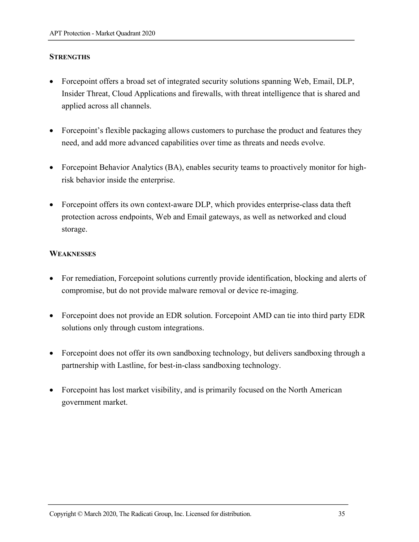#### **STRENGTHS**

- Forcepoint offers a broad set of integrated security solutions spanning Web, Email, DLP, Insider Threat, Cloud Applications and firewalls, with threat intelligence that is shared and applied across all channels.
- Forcepoint's flexible packaging allows customers to purchase the product and features they need, and add more advanced capabilities over time as threats and needs evolve.
- Forcepoint Behavior Analytics (BA), enables security teams to proactively monitor for highrisk behavior inside the enterprise.
- Forcepoint offers its own context-aware DLP, which provides enterprise-class data theft protection across endpoints, Web and Email gateways, as well as networked and cloud storage.

#### **WEAKNESSES**

- For remediation, Forcepoint solutions currently provide identification, blocking and alerts of compromise, but do not provide malware removal or device re-imaging.
- Forcepoint does not provide an EDR solution. Forcepoint AMD can tie into third party EDR solutions only through custom integrations.
- Forcepoint does not offer its own sandboxing technology, but delivers sandboxing through a partnership with Lastline, for best-in-class sandboxing technology.
- Forcepoint has lost market visibility, and is primarily focused on the North American government market.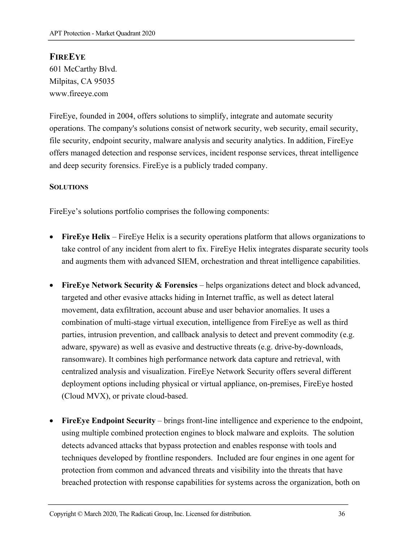## **FIREEYE**

601 McCarthy Blvd. Milpitas, CA 95035 www.fireeye.com

FireEye, founded in 2004, offers solutions to simplify, integrate and automate security operations. The company's solutions consist of network security, web security, email security, file security, endpoint security, malware analysis and security analytics. In addition, FireEye offers managed detection and response services, incident response services, threat intelligence and deep security forensics. FireEye is a publicly traded company.

#### **SOLUTIONS**

FireEye's solutions portfolio comprises the following components:

- **FireEye Helix** FireEye Helix is a security operations platform that allows organizations to take control of any incident from alert to fix. FireEye Helix integrates disparate security tools and augments them with advanced SIEM, orchestration and threat intelligence capabilities.
- **FireEye Network Security & Forensics** helps organizations detect and block advanced, targeted and other evasive attacks hiding in Internet traffic, as well as detect lateral movement, data exfiltration, account abuse and user behavior anomalies. It uses a combination of multi-stage virtual execution, intelligence from FireEye as well as third parties, intrusion prevention, and callback analysis to detect and prevent commodity (e.g. adware, spyware) as well as evasive and destructive threats (e.g. drive-by-downloads, ransomware). It combines high performance network data capture and retrieval, with centralized analysis and visualization. FireEye Network Security offers several different deployment options including physical or virtual appliance, on-premises, FireEye hosted (Cloud MVX), or private cloud-based.
- **FireEye Endpoint Security**  brings front-line intelligence and experience to the endpoint, using multiple combined protection engines to block malware and exploits. The solution detects advanced attacks that bypass protection and enables response with tools and techniques developed by frontline responders. Included are four engines in one agent for protection from common and advanced threats and visibility into the threats that have breached protection with response capabilities for systems across the organization, both on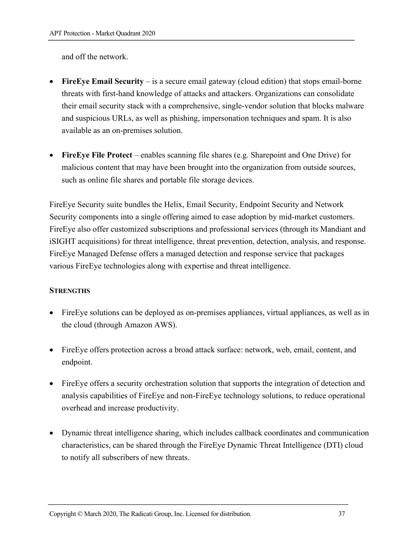and off the network.

- **FireEye Email Security** is a secure email gateway (cloud edition) that stops email-borne threats with first-hand knowledge of attacks and attackers. Organizations can consolidate their email security stack with a comprehensive, single-vendor solution that blocks malware and suspicious URLs, as well as phishing, impersonation techniques and spam. It is also available as an on-premises solution.
- **FireEye File Protect** enables scanning file shares (e.g. Sharepoint and One Drive) for malicious content that may have been brought into the organization from outside sources, such as online file shares and portable file storage devices.

FireEye Security suite bundles the Helix, Email Security, Endpoint Security and Network Security components into a single offering aimed to ease adoption by mid-market customers. FireEye also offer customized subscriptions and professional services (through its Mandiant and iSIGHT acquisitions) for threat intelligence, threat prevention, detection, analysis, and response. FireEye Managed Defense offers a managed detection and response service that packages various FireEye technologies along with expertise and threat intelligence.

#### **STRENGTHS**

- FireEye solutions can be deployed as on-premises appliances, virtual appliances, as well as in the cloud (through Amazon AWS).
- FireEye offers protection across a broad attack surface: network, web, email, content, and endpoint.
- FireEye offers a security orchestration solution that supports the integration of detection and analysis capabilities of FireEye and non-FireEye technology solutions, to reduce operational overhead and increase productivity.
- Dynamic threat intelligence sharing, which includes callback coordinates and communication characteristics, can be shared through the FireEye Dynamic Threat Intelligence (DTI) cloud to notify all subscribers of new threats.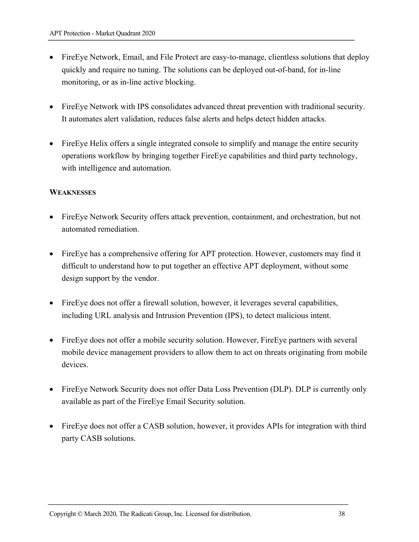- FireEye Network, Email, and File Protect are easy-to-manage, clientless solutions that deploy quickly and require no tuning. The solutions can be deployed out-of-band, for in-line monitoring, or as in-line active blocking.
- FireEye Network with IPS consolidates advanced threat prevention with traditional security. It automates alert validation, reduces false alerts and helps detect hidden attacks.
- FireEye Helix offers a single integrated console to simplify and manage the entire security operations workflow by bringing together FireEye capabilities and third party technology, with intelligence and automation.

#### **WEAKNESSES**

- FireEye Network Security offers attack prevention, containment, and orchestration, but not automated remediation.
- FireEye has a comprehensive offering for APT protection. However, customers may find it difficult to understand how to put together an effective APT deployment, without some design support by the vendor.
- FireEye does not offer a firewall solution, however, it leverages several capabilities, including URL analysis and Intrusion Prevention (IPS), to detect malicious intent.
- FireEye does not offer a mobile security solution. However, FireEye partners with several mobile device management providers to allow them to act on threats originating from mobile devices.
- FireEye Network Security does not offer Data Loss Prevention (DLP). DLP is currently only available as part of the FireEye Email Security solution.
- FireEye does not offer a CASB solution, however, it provides APIs for integration with third party CASB solutions.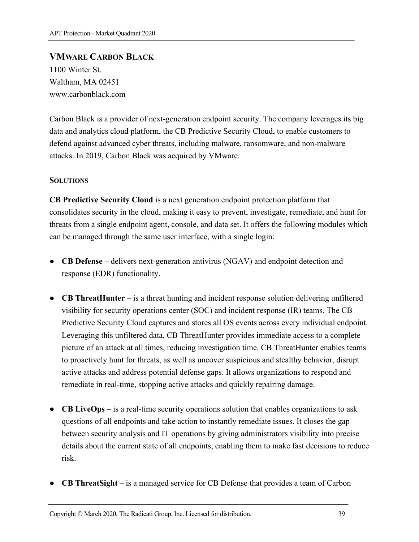## **VMWARE CARBON BLACK**

1100 Winter St. Waltham, MA 02451 www.carbonblack.com

Carbon Black is a provider of next-generation endpoint security. The company leverages its big data and analytics cloud platform, the CB Predictive Security Cloud, to enable customers to defend against advanced cyber threats, including malware, ransomware, and non-malware attacks. In 2019, Carbon Black was acquired by VMware.

#### **SOLUTIONS**

**CB Predictive Security Cloud** is a next generation endpoint protection platform that consolidates security in the cloud, making it easy to prevent, investigate, remediate, and hunt for threats from a single endpoint agent, console, and data set. It offers the following modules which can be managed through the same user interface, with a single login:

- **CB Defense** delivers next-generation antivirus (NGAV) and endpoint detection and response (EDR) functionality.
- **CB ThreatHunter** is a threat hunting and incident response solution delivering unfiltered visibility for security operations center (SOC) and incident response (IR) teams. The CB Predictive Security Cloud captures and stores all OS events across every individual endpoint. Leveraging this unfiltered data, CB ThreatHunter provides immediate access to a complete picture of an attack at all times, reducing investigation time. CB ThreatHunter enables teams to proactively hunt for threats, as well as uncover suspicious and stealthy behavior, disrupt active attacks and address potential defense gaps. It allows organizations to respond and remediate in real-time, stopping active attacks and quickly repairing damage.
- **CB LiveOps** is a real-time security operations solution that enables organizations to ask questions of all endpoints and take action to instantly remediate issues. It closes the gap between security analysis and IT operations by giving administrators visibility into precise details about the current state of all endpoints, enabling them to make fast decisions to reduce risk.
- **CB ThreatSight** is a managed service for CB Defense that provides a team of Carbon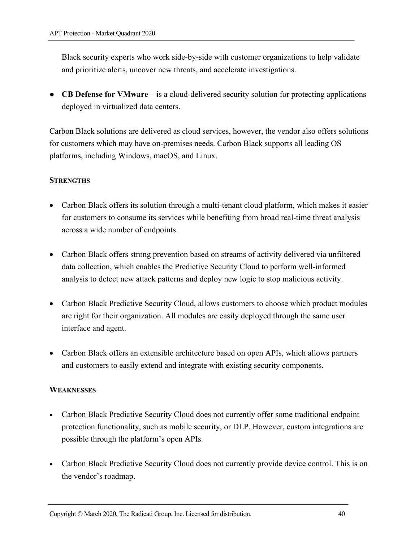Black security experts who work side-by-side with customer organizations to help validate and prioritize alerts, uncover new threats, and accelerate investigations.

● **CB Defense for VMware** – is a cloud-delivered security solution for protecting applications deployed in virtualized data centers.

Carbon Black solutions are delivered as cloud services, however, the vendor also offers solutions for customers which may have on-premises needs. Carbon Black supports all leading OS platforms, including Windows, macOS, and Linux.

#### **STRENGTHS**

- Carbon Black offers its solution through a multi-tenant cloud platform, which makes it easier for customers to consume its services while benefiting from broad real-time threat analysis across a wide number of endpoints.
- Carbon Black offers strong prevention based on streams of activity delivered via unfiltered data collection, which enables the Predictive Security Cloud to perform well-informed analysis to detect new attack patterns and deploy new logic to stop malicious activity.
- Carbon Black Predictive Security Cloud, allows customers to choose which product modules are right for their organization. All modules are easily deployed through the same user interface and agent.
- Carbon Black offers an extensible architecture based on open APIs, which allows partners and customers to easily extend and integrate with existing security components.

#### **WEAKNESSES**

- Carbon Black Predictive Security Cloud does not currently offer some traditional endpoint protection functionality, such as mobile security, or DLP. However, custom integrations are possible through the platform's open APIs.
- Carbon Black Predictive Security Cloud does not currently provide device control. This is on the vendor's roadmap.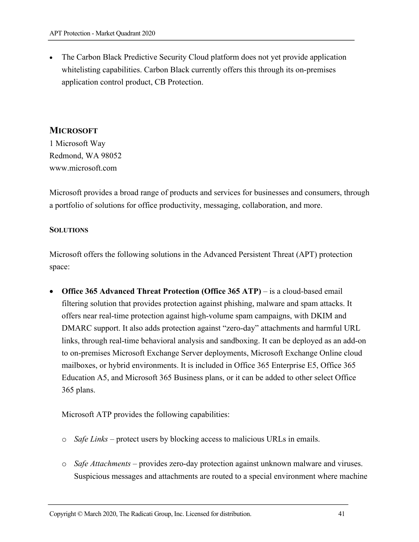• The Carbon Black Predictive Security Cloud platform does not yet provide application whitelisting capabilities. Carbon Black currently offers this through its on-premises application control product, CB Protection.

## **MICROSOFT**

1 Microsoft Way Redmond, WA 98052 www.microsoft.com

Microsoft provides a broad range of products and services for businesses and consumers, through a portfolio of solutions for office productivity, messaging, collaboration, and more.

#### **SOLUTIONS**

Microsoft offers the following solutions in the Advanced Persistent Threat (APT) protection space:

• **Office 365 Advanced Threat Protection (Office 365 ATP)** – is a cloud-based email filtering solution that provides protection against phishing, malware and spam attacks. It offers near real-time protection against high-volume spam campaigns, with DKIM and DMARC support. It also adds protection against "zero-day" attachments and harmful URL links, through real-time behavioral analysis and sandboxing. It can be deployed as an add-on to on-premises Microsoft Exchange Server deployments, Microsoft Exchange Online cloud mailboxes, or hybrid environments. It is included in Office 365 Enterprise E5, Office 365 Education A5, and Microsoft 365 Business plans, or it can be added to other select Office 365 plans.

Microsoft ATP provides the following capabilities:

- o *Safe Links* protect users by blocking access to malicious URLs in emails.
- o *Safe Attachments*  provides zero-day protection against unknown malware and viruses. Suspicious messages and attachments are routed to a special environment where machine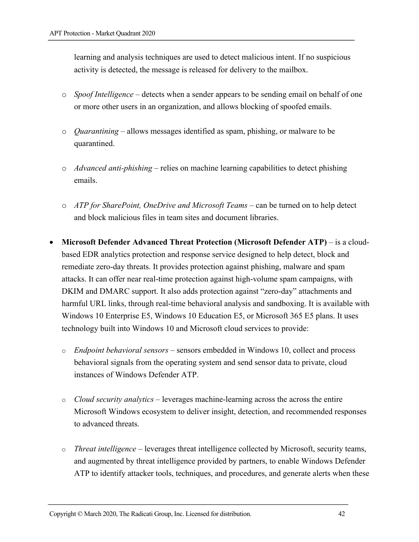learning and analysis techniques are used to detect malicious intent. If no suspicious activity is detected, the message is released for delivery to the mailbox.

- o *Spoof Intelligence* detects when a sender appears to be sending email on behalf of one or more other users in an organization, and allows blocking of spoofed emails.
- o *Quarantining* allows messages identified as spam, phishing, or malware to be quarantined.
- o *Advanced anti-phishing* relies on machine learning capabilities to detect phishing emails.
- o *ATP for SharePoint, OneDrive and Microsoft Teams* can be turned on to help detect and block malicious files in team sites and document libraries.
- **Microsoft Defender Advanced Threat Protection (Microsoft Defender ATP)**  is a cloudbased EDR analytics protection and response service designed to help detect, block and remediate zero-day threats. It provides protection against phishing, malware and spam attacks. It can offer near real-time protection against high-volume spam campaigns, with DKIM and DMARC support. It also adds protection against "zero-day" attachments and harmful URL links, through real-time behavioral analysis and sandboxing. It is available with Windows 10 Enterprise E5, Windows 10 Education E5, or Microsoft 365 E5 plans. It uses technology built into Windows 10 and Microsoft cloud services to provide:
	- o *Endpoint behavioral sensors* sensors embedded in Windows 10, collect and process behavioral signals from the operating system and send sensor data to private, cloud instances of Windows Defender ATP.
	- o *Cloud security analytics* leverages machine-learning across the across the entire Microsoft Windows ecosystem to deliver insight, detection, and recommended responses to advanced threats.
	- o *Threat intelligence* leverages threat intelligence collected by Microsoft, security teams, and augmented by threat intelligence provided by partners, to enable Windows Defender ATP to identify attacker tools, techniques, and procedures, and generate alerts when these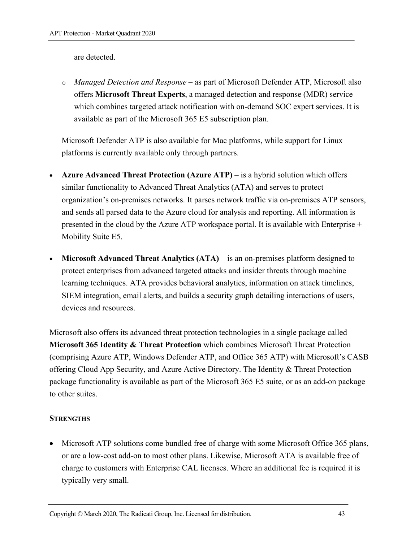are detected.

o *Managed Detection and Response* – as part of Microsoft Defender ATP, Microsoft also offers **Microsoft Threat Experts**, a managed detection and response (MDR) service which combines targeted attack notification with on-demand SOC expert services. It is available as part of the Microsoft 365 E5 subscription plan.

Microsoft Defender ATP is also available for Mac platforms, while support for Linux platforms is currently available only through partners.

- **Azure Advanced Threat Protection (Azure ATP)** is a hybrid solution which offers similar functionality to Advanced Threat Analytics (ATA) and serves to protect organization's on-premises networks. It parses network traffic via on-premises ATP sensors, and sends all parsed data to the Azure cloud for analysis and reporting. All information is presented in the cloud by the Azure ATP workspace portal. It is available with Enterprise + Mobility Suite E5.
- **Microsoft Advanced Threat Analytics (ATA)** is an on-premises platform designed to protect enterprises from advanced targeted attacks and insider threats through machine learning techniques. ATA provides behavioral analytics, information on attack timelines, SIEM integration, email alerts, and builds a security graph detailing interactions of users, devices and resources.

Microsoft also offers its advanced threat protection technologies in a single package called **Microsoft 365 Identity & Threat Protection** which combines Microsoft Threat Protection (comprising Azure ATP, Windows Defender ATP, and Office 365 ATP) with Microsoft's CASB offering Cloud App Security, and Azure Active Directory. The Identity & Threat Protection package functionality is available as part of the Microsoft 365 E5 suite, or as an add-on package to other suites.

#### **STRENGTHS**

• Microsoft ATP solutions come bundled free of charge with some Microsoft Office 365 plans, or are a low-cost add-on to most other plans. Likewise, Microsoft ATA is available free of charge to customers with Enterprise CAL licenses. Where an additional fee is required it is typically very small.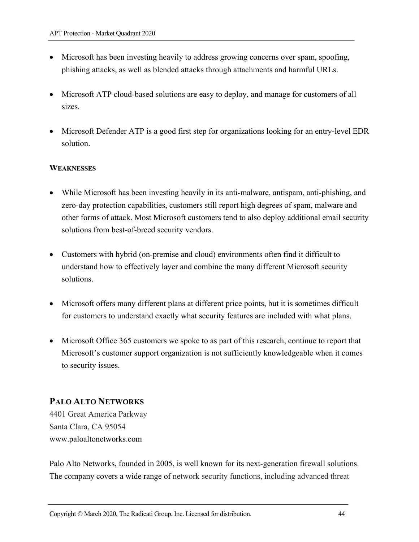- Microsoft has been investing heavily to address growing concerns over spam, spoofing, phishing attacks, as well as blended attacks through attachments and harmful URLs.
- Microsoft ATP cloud-based solutions are easy to deploy, and manage for customers of all sizes.
- Microsoft Defender ATP is a good first step for organizations looking for an entry-level EDR solution.

#### **WEAKNESSES**

- While Microsoft has been investing heavily in its anti-malware, antispam, anti-phishing, and zero-day protection capabilities, customers still report high degrees of spam, malware and other forms of attack. Most Microsoft customers tend to also deploy additional email security solutions from best-of-breed security vendors.
- Customers with hybrid (on-premise and cloud) environments often find it difficult to understand how to effectively layer and combine the many different Microsoft security solutions.
- Microsoft offers many different plans at different price points, but it is sometimes difficult for customers to understand exactly what security features are included with what plans.
- Microsoft Office 365 customers we spoke to as part of this research, continue to report that Microsoft's customer support organization is not sufficiently knowledgeable when it comes to security issues.

## **PALO ALTO NETWORKS**

4401 Great America Parkway Santa Clara, CA 95054 www.paloaltonetworks.com

Palo Alto Networks, founded in 2005, is well known for its next-generation firewall solutions. The company covers a wide range of network security functions, including advanced threat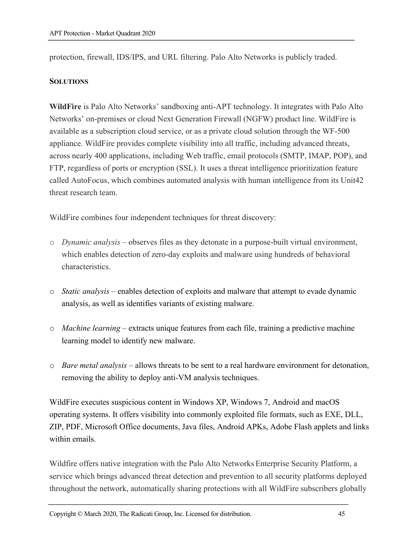protection, firewall, IDS/IPS, and URL filtering. Palo Alto Networks is publicly traded.

#### **SOLUTIONS**

**WildFire** is Palo Alto Networks' sandboxing anti-APT technology. It integrates with Palo Alto Networks' on-premises or cloud Next Generation Firewall (NGFW) product line. WildFire is available as a subscription cloud service, or as a private cloud solution through the WF-500 appliance. WildFire provides complete visibility into all traffic, including advanced threats, across nearly 400 applications, including Web traffic, email protocols (SMTP, IMAP, POP), and FTP, regardless of ports or encryption (SSL). It uses a threat intelligence prioritization feature called AutoFocus, which combines automated analysis with human intelligence from its Unit42 threat research team.

WildFire combines four independent techniques for threat discovery:

- o *Dynamic analysis* observes files as they detonate in a purpose-built virtual environment, which enables detection of zero-day exploits and malware using hundreds of behavioral characteristics.
- o *Static analysis* enables detection of exploits and malware that attempt to evade dynamic analysis, as well as identifies variants of existing malware.
- o *Machine learning*  extracts unique features from each file, training a predictive machine learning model to identify new malware.
- o *Bare metal analysis* allows threats to be sent to a real hardware environment for detonation, removing the ability to deploy anti-VM analysis techniques.

WildFire executes suspicious content in Windows XP, Windows 7, Android and macOS operating systems. It offers visibility into commonly exploited file formats, such as EXE, DLL, ZIP, PDF, Microsoft Office documents, Java files, Android APKs, Adobe Flash applets and links within emails.

Wildfire offers native integration with the Palo Alto Networks Enterprise Security Platform, a service which brings advanced threat detection and prevention to all security platforms deployed throughout the network, automatically sharing protections with all WildFire subscribers globally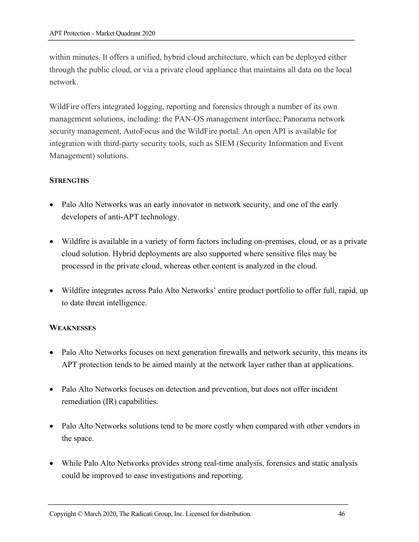within minutes. It offers a unified, hybrid cloud architecture, which can be deployed either through the public cloud, or via a private cloud appliance that maintains all data on the local network.

WildFire offers integrated logging, reporting and forensics through a number of its own management solutions, including: the PAN-OS management interface, Panorama network security management, AutoFocus and the WildFire portal. An open API is available for integration with third-party security tools, such as SIEM (Security Information and Event Management) solutions.

#### **STRENGTHS**

- Palo Alto Networks was an early innovator in network security, and one of the early developers of anti-APT technology.
- Wildfire is available in a variety of form factors including on-premises, cloud, or as a private cloud solution. Hybrid deployments are also supported where sensitive files may be processed in the private cloud, whereas other content is analyzed in the cloud.
- Wildfire integrates across Palo Alto Networks' entire product portfolio to offer full, rapid, up to date threat intelligence.

#### **WEAKNESSES**

- Palo Alto Networks focuses on next generation firewalls and network security, this means its APT protection tends to be aimed mainly at the network layer rather than at applications.
- Palo Alto Networks focuses on detection and prevention, but does not offer incident remediation (IR) capabilities.
- Palo Alto Networks solutions tend to be more costly when compared with other vendors in the space.
- While Palo Alto Networks provides strong real-time analysis, forensics and static analysis could be improved to ease investigations and reporting.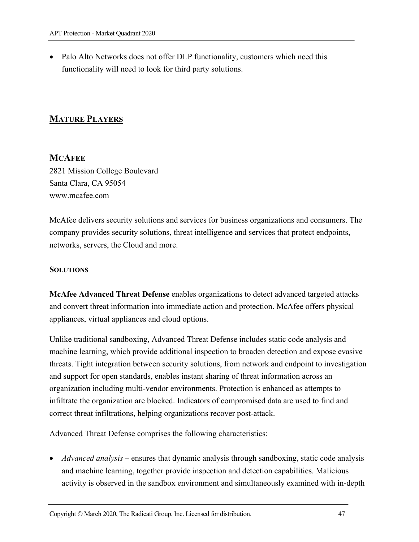• Palo Alto Networks does not offer DLP functionality, customers which need this functionality will need to look for third party solutions.

## **MATURE PLAYERS**

#### **MCAFEE**

2821 Mission College Boulevard Santa Clara, CA 95054 www.mcafee.com

McAfee delivers security solutions and services for business organizations and consumers. The company provides security solutions, threat intelligence and services that protect endpoints, networks, servers, the Cloud and more.

#### **SOLUTIONS**

**McAfee Advanced Threat Defense** enables organizations to detect advanced targeted attacks and convert threat information into immediate action and protection. McAfee offers physical appliances, virtual appliances and cloud options.

Unlike traditional sandboxing, Advanced Threat Defense includes static code analysis and machine learning, which provide additional inspection to broaden detection and expose evasive threats. Tight integration between security solutions, from network and endpoint to investigation and support for open standards, enables instant sharing of threat information across an organization including multi-vendor environments. Protection is enhanced as attempts to infiltrate the organization are blocked. Indicators of compromised data are used to find and correct threat infiltrations, helping organizations recover post-attack.

Advanced Threat Defense comprises the following characteristics:

• *Advanced analysis* – ensures that dynamic analysis through sandboxing, static code analysis and machine learning, together provide inspection and detection capabilities. Malicious activity is observed in the sandbox environment and simultaneously examined with in-depth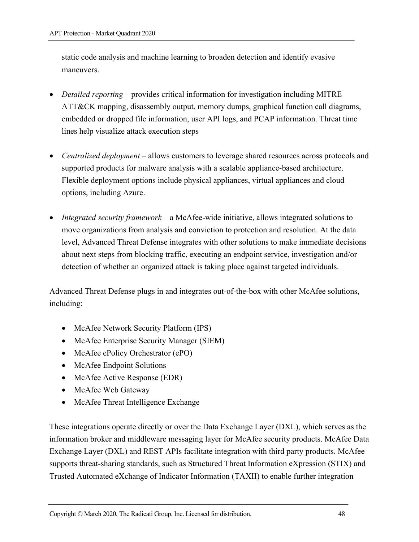static code analysis and machine learning to broaden detection and identify evasive maneuvers.

- *Detailed reporting* provides critical information for investigation including MITRE ATT&CK mapping, disassembly output, memory dumps, graphical function call diagrams, embedded or dropped file information, user API logs, and PCAP information. Threat time lines help visualize attack execution steps
- *Centralized deployment* allows customers to leverage shared resources across protocols and supported products for malware analysis with a scalable appliance-based architecture. Flexible deployment options include physical appliances, virtual appliances and cloud options, including Azure.
- *Integrated security framework* a McAfee-wide initiative, allows integrated solutions to move organizations from analysis and conviction to protection and resolution. At the data level, Advanced Threat Defense integrates with other solutions to make immediate decisions about next steps from blocking traffic, executing an endpoint service, investigation and/or detection of whether an organized attack is taking place against targeted individuals.

Advanced Threat Defense plugs in and integrates out-of-the-box with other McAfee solutions, including:

- McAfee Network Security Platform (IPS)
- McAfee Enterprise Security Manager (SIEM)
- McAfee ePolicy Orchestrator (ePO)
- McAfee Endpoint Solutions
- McAfee Active Response (EDR)
- McAfee Web Gateway
- McAfee Threat Intelligence Exchange

These integrations operate directly or over the Data Exchange Layer (DXL), which serves as the information broker and middleware messaging layer for McAfee security products. McAfee Data Exchange Layer (DXL) and REST APIs facilitate integration with third party products. McAfee supports threat-sharing standards, such as Structured Threat Information eXpression (STIX) and Trusted Automated eXchange of Indicator Information (TAXII) to enable further integration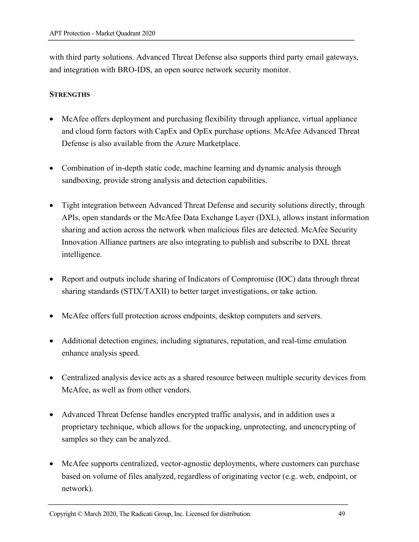with third party solutions. Advanced Threat Defense also supports third party email gateways, and integration with BRO-IDS, an open source network security monitor.

#### **STRENGTHS**

- McAfee offers deployment and purchasing flexibility through appliance, virtual appliance and cloud form factors with CapEx and OpEx purchase options. McAfee Advanced Threat Defense is also available from the Azure Marketplace.
- Combination of in-depth static code, machine learning and dynamic analysis through sandboxing, provide strong analysis and detection capabilities.
- Tight integration between Advanced Threat Defense and security solutions directly, through APIs, open standards or the McAfee Data Exchange Layer (DXL), allows instant information sharing and action across the network when malicious files are detected. McAfee Security Innovation Alliance partners are also integrating to publish and subscribe to DXL threat intelligence.
- Report and outputs include sharing of Indicators of Compromise (IOC) data through threat sharing standards (STIX/TAXII) to better target investigations, or take action.
- McAfee offers full protection across endpoints, desktop computers and servers.
- Additional detection engines, including signatures, reputation, and real-time emulation enhance analysis speed.
- Centralized analysis device acts as a shared resource between multiple security devices from McAfee, as well as from other vendors.
- Advanced Threat Defense handles encrypted traffic analysis, and in addition uses a proprietary technique, which allows for the unpacking, unprotecting, and unencrypting of samples so they can be analyzed.
- McAfee supports centralized, vector-agnostic deployments, where customers can purchase based on volume of files analyzed, regardless of originating vector (e.g. web, endpoint, or network).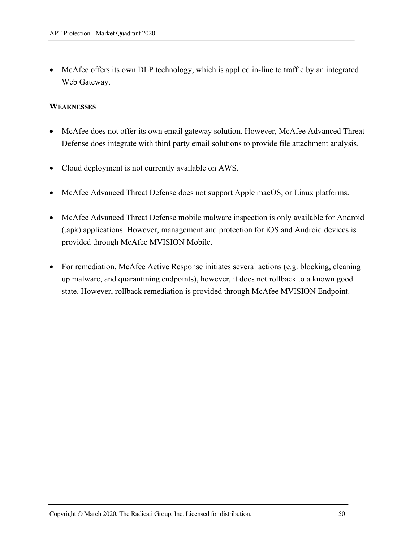• McAfee offers its own DLP technology, which is applied in-line to traffic by an integrated Web Gateway.

#### **WEAKNESSES**

- McAfee does not offer its own email gateway solution. However, McAfee Advanced Threat Defense does integrate with third party email solutions to provide file attachment analysis.
- Cloud deployment is not currently available on AWS.
- McAfee Advanced Threat Defense does not support Apple macOS, or Linux platforms.
- McAfee Advanced Threat Defense mobile malware inspection is only available for Android (.apk) applications. However, management and protection for iOS and Android devices is provided through McAfee MVISION Mobile.
- For remediation, McAfee Active Response initiates several actions (e.g. blocking, cleaning up malware, and quarantining endpoints), however, it does not rollback to a known good state. However, rollback remediation is provided through McAfee MVISION Endpoint.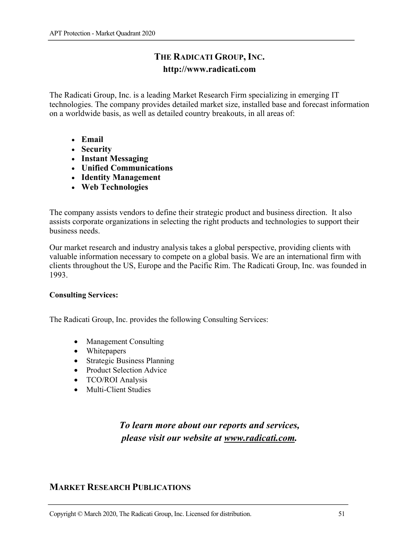## **THE RADICATI GROUP, INC. http://www.radicati.com**

The Radicati Group, Inc. is a leading Market Research Firm specializing in emerging IT technologies. The company provides detailed market size, installed base and forecast information on a worldwide basis, as well as detailed country breakouts, in all areas of:

- **Email**
- **Security**
- **Instant Messaging**
- **Unified Communications**
- **Identity Management**
- **Web Technologies**

The company assists vendors to define their strategic product and business direction. It also assists corporate organizations in selecting the right products and technologies to support their business needs.

Our market research and industry analysis takes a global perspective, providing clients with valuable information necessary to compete on a global basis. We are an international firm with clients throughout the US, Europe and the Pacific Rim. The Radicati Group, Inc. was founded in 1993.

#### **Consulting Services:**

The Radicati Group, Inc. provides the following Consulting Services:

- Management Consulting
- Whitepapers
- Strategic Business Planning
- Product Selection Advice
- TCO/ROI Analysis
- Multi-Client Studies

## *To learn more about our reports and services, please visit our website at www.radicati.com.*

## **MARKET RESEARCH PUBLICATIONS**